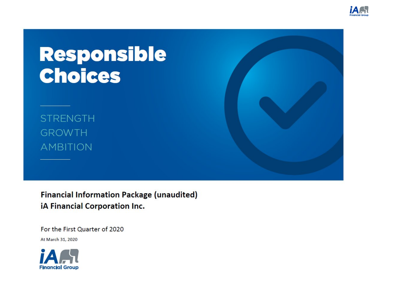

# Responsible<br>Choices

**STRENGTH GROWTH AMBITION** 

**Financial Information Package (unaudited)** iA Financial Corporation Inc.

For the First Quarter of 2020 At March 31, 2020

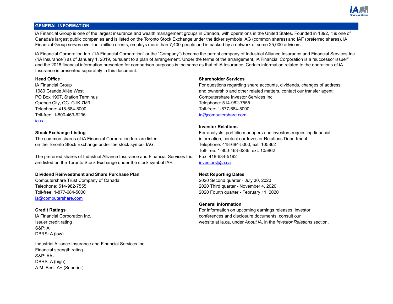

# **GENERAL INFORMATION**

iA Financial Group is one of the largest insurance and wealth management groups in Canada, with operations in the United States. Founded in 1892, it is one of Canada's largest public companies and is listed on the Toronto Stock Exchange under the ticker symbols IAG (common shares) and IAF (preferred shares). iA Financial Group serves over four million clients, employs more than 7,400 people and is backed by a network of some 25,000 advisors.

iA Financial Corporation Inc. ("iA Financial Corporation" or the "Company") became the parent company of Industrial Alliance Insurance and Financial Services Inc. ("iA Insurance") as of January 1, 2019, pursuant to a plan of arrangement. Under the terms of the arrangement, iA Financial Corporation is a "successor issuer" and the 2018 financial information presented for comparison purposes is the same as that of iA Insurance. Certain information related to the operations of iA Insurance is presented separately in this document.

Quebec City, QC G1K 7M3 Telephone: 514-982-7555 Telephone: 418-684-5000 Toll-free: 1-877-684-5000 Toll-free: 1-800-463-6236 ia@computershare.com ia.ca

The common shares of iA Financial Corporation Inc. are listed information, contact our Investor Relations Department: on the Toronto Stock Exchange under the stock symbol IAG. The State of Telephone: 418-684-5000, ext. 105862

The preferred shares of Industrial Alliance Insurance and Financial Services Inc. Fax: 418-684-5192 are listed on the Toronto Stock Exchange under the stock symbol IAF. investors@ia.ca

# **Dividend Reinvestment and Share Purchase Plan Next Reporting Dates**

Computershare Trust Company of Canada 2020 Second quarter - July 30, 2020 Telephone: 514-982-7555 2020 Third quarter - November 4, 2020 Toll-free: 1-877-684-5000 2020 Fourth quarter - February 11, 2020 ia@computershare.com

S&P: A DBRS: A (low)

Industrial Alliance Insurance and Financial Services Inc. Financial strength rating S&P: AA-DBRS: A (high) A.M. Best: A+ (Superior)

# **Head Office Shareholder Services**

iA Financial Group For questions regarding share accounts, dividends, changes of address 1080 Grande Allée West and ownership and other related matters, contact our transfer agent: PO Box 1907, Station Terminus Computershare Investor Services Inc.

# **Investor Relations**

**Stock Exchange Listing** For analysts, portfolio managers and investors requesting financial Toll-free: 1-800-463-6236, ext. 105862

# **General information**

**Credit Ratings** For information on upcoming earnings releases, investor **Credit Ratings** releases, investor iA Financial Corporation Inc. conferences and disclosure documents, consult our Issuer credit rating website at ia.ca, under *About iA*, in the *Investor Relations* section.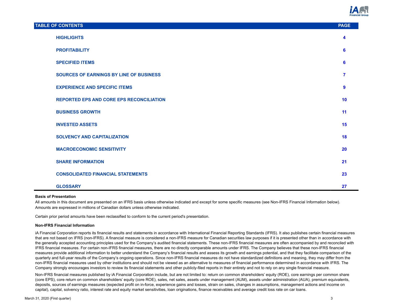

| <b>TABLE OF CONTENTS</b>                        | <b>PAGE</b>             |
|-------------------------------------------------|-------------------------|
| <b>HIGHLIGHTS</b>                               | 4                       |
| <b>PROFITABILITY</b>                            | 6                       |
| <b>SPECIFIED ITEMS</b>                          | 6                       |
| <b>SOURCES OF EARNINGS BY LINE OF BUSINESS</b>  | $\overline{\mathbf{z}}$ |
| <b>EXPERIENCE AND SPECIFIC ITEMS</b>            | 9                       |
| <b>REPORTED EPS AND CORE EPS RECONCILIATION</b> | 10                      |
| <b>BUSINESS GROWTH</b>                          | 11                      |
| <b>INVESTED ASSETS</b>                          | 15                      |
| <b>SOLVENCY AND CAPITALIZATION</b>              | 18                      |
| <b>MACROECONOMIC SENSITIVITY</b>                | 20                      |
| <b>SHARE INFORMATION</b>                        | 21                      |
| <b>CONSOLIDATED FINANCIAL STATEMENTS</b>        | 23                      |
| <b>GLOSSARY</b>                                 | 27                      |

#### **Basis of Presentation**

All amounts in this document are presented on an IFRS basis unless otherwise indicated and except for some specific measures (see Non-IFRS Financial Information below). Amounts are expressed in millions of Canadian dollars unless otherwise indicated.

Certain prior period amounts have been reclassified to conform to the current period's presentation.

#### **Non-IFRS Financial Information**

iA Financial Corporation reports its financial results and statements in accordance with International Financial Reporting Standards (IFRS). It also publishes certain financial measures that are not based on IFRS (non-IFRS). A financial measure is considered a non-IFRS measure for Canadian securities law purposes if it is presented other than in accordance with the generally accepted accounting principles used for the Company's audited financial statements. These non-IFRS financial measures are often accompanied by and reconciled with IFRS financial measures. For certain non-IFRS financial measures, there are no directly comparable amounts under IFRS. The Company believes that these non-IFRS financial measures provide additional information to better understand the Company's financial results and assess its growth and earnings potential, and that they facilitate comparison of the quarterly and full-year results of the Company's ongoing operations. Since non-IFRS financial measures do not have standardized definitions and meaning, they may differ from the non-IFRS financial measures used by other institutions and should not be viewed as an alternative to measures of financial performance determined in accordance with IFRS. The Company strongly encourages investors to review its financial statements and other publicly-filed reports in their entirety and not to rely on any single financial measure.

Non-IFRS financial measures published by iA Financial Corporation include, but are not limited to: return on common shareholders' equity (ROE), core earnings per common share (core EPS), core return on common shareholders' equity (core ROE), sales, net sales, assets under management (AUM), assets under administration (AUA), premium equivalents, deposits, sources of earnings measures (expected profit on in-force, experience gains and losses, strain on sales, changes in assumptions, management actions and income on capital), capital, solvency ratio, interest rate and equity market sensitivities, loan originations, finance receivables and average credit loss rate on car loans.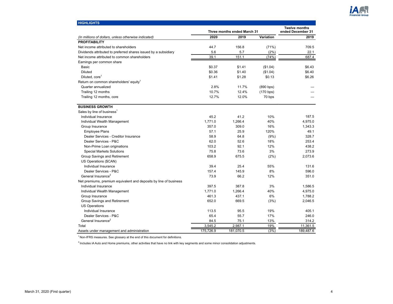

<span id="page-3-0"></span>

| <b>HIGHLIGHTS</b>                                                 |           |                             |           |                                           |
|-------------------------------------------------------------------|-----------|-----------------------------|-----------|-------------------------------------------|
|                                                                   |           | Three months ended March 31 |           | <b>Twelve months</b><br>ended December 31 |
| (In millions of dollars, unless otherwise indicated)              | 2020      | 2019                        | Variation | 2019                                      |
| <b>PROFITABILITY</b>                                              |           |                             |           |                                           |
| Net income attributed to shareholders                             | 44.7      | 156.8                       | (71%)     | 709.5                                     |
| Dividends attributed to preferred shares issued by a subsidiary   | 5.6       | 5.7                         | (2%)      | 22.1                                      |
| Net income attributed to common shareholders                      | 39.1      | 151.1                       | (74%)     | 687.4                                     |
| Earnings per common share                                         |           |                             |           |                                           |
| <b>Basic</b>                                                      | \$0.37    | \$1.41                      | (\$1.04)  | \$6.43                                    |
| <b>Diluted</b>                                                    | \$0.36    | \$1.40                      | (\$1.04)  | \$6.40                                    |
| Diluted, core <sup>1</sup>                                        | \$1.41    | \$1.28                      | \$0.13    | \$6.26                                    |
| Return on common shareholders' equity <sup>1</sup>                |           |                             |           |                                           |
| Quarter annualized                                                | 2.8%      | 11.7%                       | (890 bps) |                                           |
| Trailing 12 months                                                | 10.7%     | 12.4%                       | (170 bps) |                                           |
| Trailing 12 months, core                                          | 12.7%     | 12.0%                       | 70 bps    |                                           |
| <b>BUSINESS GROWTH</b>                                            |           |                             |           |                                           |
| Sales by line of business <sup>1</sup>                            |           |                             |           |                                           |
| Individual Insurance                                              | 45.2      | 41.2                        | 10%       | 187.5                                     |
| Individual Wealth Management                                      | 1,771.0   | 1,266.4                     | 40%       | 4,975.0                                   |
| Group Insurance                                                   | 357.0     | 309.0                       | 16%       | 1,343.3                                   |
| <b>Employee Plans</b>                                             | 57.1      | 25.9                        | 120%      | 49.1                                      |
| Dealer Services - Creditor Insurance                              | 58.9      | 64.8                        | (9%)      | 328.7                                     |
| Dealer Services - P&C                                             | 62.0      | 52.6                        | 18%       | 253.4                                     |
| Non-Prime Loan originations                                       | 103.2     | 92.1                        | 12%       | 438.2                                     |
| <b>Special Markets Solutions</b>                                  | 75.8      | 73.6                        | 3%        | 273.9                                     |
| Group Savings and Retirement                                      | 658.9     | 675.5                       | (2%)      | 2,073.6                                   |
| US Operations (\$CAN)                                             |           |                             |           |                                           |
| Individual Insurance                                              | 39.4      | 25.4                        | 55%       | 131.6                                     |
| Dealer Services - P&C                                             | 157.4     | 145.9                       | 8%        | 596.0                                     |
| General Insurance <sup>2</sup>                                    | 73.9      | 66.2                        | 12%       | 351.0                                     |
| Net premiums, premium equivalent and deposits by line of business |           |                             |           |                                           |
| Individual Insurance                                              | 397.5     | 387.8                       | 3%        | 1,586.5                                   |
| Individual Wealth Management                                      | 1,771.0   | 1,266.4                     | 40%       | 4,975.0                                   |
| Group Insurance                                                   | 461.3     | 437.1                       | 6%        | 1,788.2                                   |
| Group Savings and Retirement                                      | 652.0     | 669.5                       | (3%)      | 2,046.5                                   |
| <b>US Operations</b>                                              |           |                             |           |                                           |
| Individual Insurance                                              | 113.5     | 95.5                        | 19%       | 405.1                                     |
| Dealer Services - P&C                                             | 65.4      | 55.7                        | 17%       | 246.0                                     |
| General Insurance <sup>2</sup>                                    | 84.5      | 75.1                        | 13%       | 314.2                                     |
| Total                                                             | 3,545.2   | 2,987.1                     | 19%       | 11,361.5                                  |
| Assets under management and administration                        | 175,726.9 | 181,070.5                   | (3%)      | 189,487.6                                 |

 $<sup>1</sup>$  Non-IFRS measures. See glossary at the end of this document for definitions.</sup>

 $2$  Includes iA Auto and Home premiums, other activities that have no link with key segments and some minor consolidation adjustments.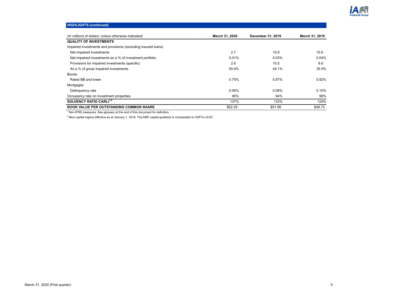

| <b>HIGHLIGHTS (continued)</b>                                 |                |                   |                |
|---------------------------------------------------------------|----------------|-------------------|----------------|
| (In millions of dollars, unless otherwise indicated)          | March 31, 2020 | December 31, 2019 | March 31, 2019 |
|                                                               |                |                   |                |
| <b>QUALITY OF INVESTMENTS</b>                                 |                |                   |                |
| Impaired investments and provisions (excluding insured loans) |                |                   |                |
| Net impaired investments                                      | 2.7            | 10.9              | 15.6           |
| Net impaired investments as a % of investment portfolio       | 0.01%          | 0.03%             | 0.04%          |
| Provisions for impaired investments (specific)                | 2.8            | 10.5              | 8.6            |
| As a % of gross impaired investments                          | 50.9%          | 49.1%             | 35.5%          |
| <b>Bonds</b>                                                  |                |                   |                |
| Rated BB and lower                                            | 0.75%          | 0.87%             | 0.92%          |
| Mortgages                                                     |                |                   |                |
| Delinquency rate                                              | 0.06%          | 0.08%             | 0.10%          |
| Occupancy rate on investment properties                       | 95%            | 94%               | 96%            |
| SOLVENCY RATIO CARLI <sup>1,2</sup>                           | 137%           | 133%              | 124%           |
| <b>BOOK VALUE PER OUTSTANDING COMMON SHARE</b>                | \$52.29        | \$51.99           | \$48.73        |

 $2$ New capital regime effective as at January 1, 2018. The AMF capital guideline is comparable to OSFI's LICAT.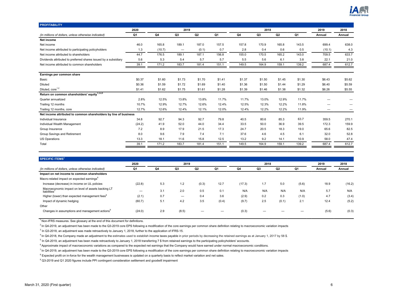

<span id="page-5-0"></span>

| <b>PROFITABILITY</b>                                             |        |        |                          |        |        |        |        |        |        |        |        |
|------------------------------------------------------------------|--------|--------|--------------------------|--------|--------|--------|--------|--------|--------|--------|--------|
|                                                                  | 2020   |        | 2019                     |        |        |        | 2018   |        |        | 2019   | 2018   |
| (In millions of dollars, unless otherwise indicated)             | Q1     | Q4     | Q3                       | Q2     | Q1     | Q4     | Q3     | Q2     | Q1     | Annual | Annual |
| Net income                                                       |        |        |                          |        |        |        |        |        |        |        |        |
| Net income                                                       | 46.0   | 165.8  | 189.1                    | 187.0  | 157.5  | 157.8  | 170.9  | 165.8  | 143.5  | 699.4  | 638.0  |
| Net income attributed to participating policyholders             | 1.3    | (10.7) | $\overline{\phantom{m}}$ | (0.1)  | 0.7    | 2.8    | 0.4    | 0.6    | 0.5    | (10.1) | 4.3    |
| Net income attributed to shareholders                            | 44.7   | 176.5  | 189.1                    | 187.1  | 156.8  | 155.0  | 170.5  | 165.2  | 143.0  | 709.5  | 633.7  |
| Dividends attributed to preferred shares issued by a subsidiary  | 5.6    | 5.3    | 5.4                      | 5.7    | 5.7    | 5.5    | 5.6    | 6.1    | 3.8    | 22.1   | 21.0   |
| Net income attributed to common shareholders                     | 39.1   | 171.2  | 183.7                    | 181.4  | 151.1  | 149.5  | 164.9  | 159.1  | 139.2  | 687.4  | 612.7  |
|                                                                  |        |        |                          |        |        |        |        |        |        |        |        |
| Earnings per common share                                        |        |        |                          |        |        |        |        |        |        |        |        |
| Basic                                                            | \$0.37 | \$1.60 | \$1.73                   | \$1.70 | \$1.41 | \$1.37 | \$1.50 | \$1.45 | \$1.30 | \$6.43 | \$5.62 |
| <b>Diluted</b>                                                   | \$0.36 | \$1.59 | \$1.72                   | \$1.69 | \$1.40 | \$1.36 | \$1.50 | \$1.44 | \$1.29 | \$6.40 | \$5.59 |
| Diluted, core <sup>1,2</sup>                                     | \$1.41 | \$1.62 | \$1.75                   | \$1.61 | \$1.28 | \$1.39 | \$1.46 | \$1.38 | \$1.32 | \$6.26 | \$5.55 |
| Return on common shareholders' equity <sup>1,3,4,5</sup>         |        |        |                          |        |        |        |        |        |        |        |        |
| Quarter annualized                                               | 2.8%   | 12.5%  | 13.8%                    | 13.8%  | 11.7%  | 11.7%  | 13.0%  | 12.9%  | 11.7%  |        |        |
| Trailing 12 months                                               | 10.7%  | 12.9%  | 12.7%                    | 12.6%  | 12.4%  | 12.5%  | 12.3%  | 12.2%  | 11.8%  |        |        |
| Trailing 12 months, core                                         | 12.7%  | 12.6%  | 12.4%                    | 12.1%  | 12.0%  | 12.4%  | 12.2%  | 12.2%  | 11.9%  |        | –      |
| Net income attributed to common shareholders by line of business |        |        |                          |        |        |        |        |        |        |        |        |
| Individual Insurance                                             | 34.8   | 92.7   | 94.3                     | 92.7   | 79.8   | 40.5   | 80.6   | 85.3   | 63.7   | 359.5  | 270.1  |
| Individual Wealth Management                                     | (24.2) | 41.9   | 52.0                     | 44.0   | 34.4   | 33.5   | 50.0   | 36.9   | 39.5   | 172.3  | 159.9  |
| Group Insurance                                                  | 7.2    | 8.9    | 17.9                     | 21.5   | 17.3   | 24.7   | 20.5   | 18.3   | 19.0   | 65.6   | 82.5   |
| Group Savings and Retirement                                     | 8.0    | 9.6    | 7.9                      | 7.4    | 7.1    | 37.6   | 4.6    | 4.5    | 6.1    | 32.0   | 52.8   |
| <b>US Operations</b>                                             | 13.3   | 18.1   | 11.6                     | 15.8   | 12.5   | 13.2   | 9.2    | 14.1   | 10.9   | 58.0   | 47.4   |
| Total                                                            | 39.1   | 171.2  | 183.7                    | 181.4  | 151.1  | 149.5  | 164.9  | 159.1  | 139.2  | 687.4  | 612.7  |

| <b>SPECIFIC ITEMS<sup>1</sup></b>                                              |        |     |       |                |       |        |      |                |           |        |        |
|--------------------------------------------------------------------------------|--------|-----|-------|----------------|-------|--------|------|----------------|-----------|--------|--------|
|                                                                                | 2020   |     | 2019  |                |       |        | 2018 |                |           | 2019   | 2018   |
| (In millions of dollars, unless otherwise indicated)                           | Q1     | Q4  | Q3    | Q <sub>2</sub> | Q1    | Q4     | Q3   | Q <sub>2</sub> | <b>Q1</b> | Annual | Annual |
| Impact on net income to common shareholders                                    |        |     |       |                |       |        |      |                |           |        |        |
| Macro-related impact on expected earnings <sup>6</sup>                         |        |     |       |                |       |        |      |                |           |        |        |
| Increase (decrease) in income on UL policies                                   | (22.8) | 5.3 | 1.2   | (0.3)          | 12.7  | (17.3) | 1.7  | 5.0            | (5.6)     | 18.9   | (16.2) |
| Macroeconomic impact on level of assets backing LT<br>liabilities <sup>7</sup> | –      | 3.1 | 2.0   | 0.5            | 0.1   | N/A    | N/A  | N/A            | N/A       | 5.7    | N/A    |
| Higher (lower) than expected management fees <sup>8</sup>                      | (2.1)  | 0.7 | —     | 0.4            | 3.6   | (2.9)  | 0.2  | 0.3            | (1.0)     | 4.7    | (3.4)  |
| Impact of dynamic hedging                                                      | (60.7) | 5.1 | 4.2   | 3.5            | (0.4) | (9.7)  | 2.5  | (0.1)          | 2.1       | 12.4   | (5.2)  |
| Other                                                                          |        |     |       |                |       |        |      |                |           |        |        |
| Changes in assumptions and management actions <sup>9</sup>                     | (24.0) | 2.9 | (8.5) |                |       | (0.3)  |      |                |           | (5.6)  | (0.3)  |

 $2$  In Q4-2019, an adjustment has been made to the Q3-2019 core EPS following a modification of the core earnings per common share definition relating to macroeconomic variation impacts

<sup>3</sup> In Q3-2018, an adjustment was made retroactively to January 1, 2018, further to the application of IFRS-15.

<sup>4</sup> In Q4-2018, the Company made an adjustment to the estimates used to establish income taxes payable in prior periods by decreasing the retained earnings as at January 1, 2017 by 58 \$.

 $<sup>5</sup>$  In Q4-2019, an adjustment has been made retroactively to January 1, 2018 transferring 7 \$ from retained earnings to the participating policyholders' accounts.</sup>

<sup>6</sup> Approximate impact of macroeconomic variations as compared to the expected net earnings that the Company would have earned under normal macroeconomic conditions.

 $^7$  In Q4-2019, an adjustment has been made to the Q3-2019 core EPS following a modification of the core earnings per common share definition relating to macroeconomic variation impacts

<sup>8</sup> Expected profit on in-force for the wealth management businesses is updated on a quarterly basis to reflect market variation and net sales.

<sup>9</sup> Q3-2019 and Q1 2020 figures include PPI contingent consideration settlement and goodwill impairment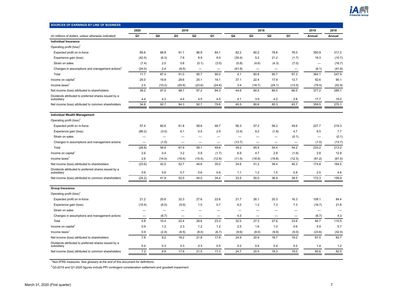

<span id="page-6-0"></span>

| 2020<br>2019<br>2018<br>2019<br>2018<br>Q1<br>Q <sub>3</sub><br>Q <sub>2</sub><br>Q1<br>Q4<br>Q <sub>3</sub><br>Q <sub>2</sub><br>Q1<br>Q4<br>(In millions of dollars, unless otherwise indicated)<br>Annual<br>Annual<br><b>Individual Insurance</b><br>Operating profit (loss) <sup>1</sup><br>76.0<br>350.9<br>317.2<br>Expected profit on in-force<br>85.6<br>88.8<br>91.1<br>86.9<br>84.1<br>82.2<br>80.2<br>78.8<br>21.2<br>(10.7)<br>Experience gain (loss)<br>(42.5)<br>(6.3)<br>7.8<br>8.9<br>8.9<br>(35.4)<br>5.2<br>(1.7)<br>19.3<br>Strain on sales<br>(7.4)<br>2.5<br>0.6<br>(0.1)<br>(3.0)<br>(0.8)<br>(4.3)<br>(7.0)<br>(16.7)<br>(4.6)<br>$\overline{\phantom{0}}$<br>Changes in assumptions and management actions <sup>2</sup><br>(24.0)<br>2.4<br>(8.5)<br>(41.9)<br>(6.1)<br>(41.9)<br>$\overline{\phantom{0}}$<br>$\overline{\phantom{m}}$<br>$\overline{\phantom{m}}$<br>-<br>-<br>91.0<br>247.9<br>11.7<br>87.4<br>95.7<br>90.0<br>4.1<br>80.8<br>95.7<br>67.3<br>364.1<br>Total<br>90.1<br>Income on capital<br>25.0<br>19.8<br>28.6<br>25.1<br>19.1<br>37.1<br>22.4<br>17.9<br>12.7<br>92.6<br>(52.9)<br>Income taxes <sup>1</sup><br>2.5<br>(10.2)<br>(20.9)<br>(23.6)<br>(24.8)<br>3.4<br>(18.7)<br>(24.1)<br>(13.5)<br>(79.5)<br>39.2<br>377.2<br>285.1<br>97.0<br>98.7<br>97.2<br>84.3<br>44.6<br>84.5<br>89.5<br>66.5<br>Net income (loss) attributed to shareholders<br>Dividends attributed to preferred shares issued by a<br>3.9<br>4.4<br>4.3<br>4.4<br>4.5<br>4.5<br>4.1<br>4.2<br>2.8<br>17.7<br>15.0<br>subsidiary<br>92.7<br>94.3<br>92.7<br>85.3<br>63.7<br>359.5<br>270.1<br>34.8<br>79.8<br>40.5<br>80.6<br>Net income (loss) attributed to common shareholders<br><b>Individual Wealth Management</b><br>Operating profit (loss) <sup>1</sup><br>Expected profit on in-force<br>57.4<br>60.6<br>61.8<br>58.6<br>46.7<br>56.3<br>57.2<br>56.2<br>49.6<br>227.7<br>219.3<br>7.7<br>(3.0)<br>0.5<br>2.9<br>(1.8)<br>4.7<br>6.5<br>Experience gain (loss)<br>(86.2)<br>6.1<br>(3.4)<br>8.2<br>(0.1)<br>Strain on sales<br>(0.1)<br>$\overline{\phantom{0}}$<br>—<br>(1.0)<br>(13.7)<br>(1.0)<br>(13.7)<br>Changes in assumptions and management actions<br>—<br>$\overline{\phantom{0}}$<br>$\overline{\phantom{0}}$<br>$\qquad \qquad -$<br>233.2<br>213.2<br>(28.8)<br>56.6<br>67.9<br>59.1<br>49.6<br>39.2<br>65.4<br>54.4<br>54.2<br>Total<br>12.8<br>0.9<br>6.9<br>2.8<br>2.8<br>Income on capital<br>2.6<br>0.4<br>3.2<br>(1.7)<br>4.7<br>(1.6)<br>2.6<br>(12.9)<br>(18.9)<br>(18.8)<br>(12.3)<br>(61.2)<br>(61.5)<br>Income taxes<br>(14.5)<br>(18.4)<br>(15.4)<br>(11.5)<br>(23.6)<br>42.5<br>52.7<br>44.6<br>35.0<br>34.6<br>51.2<br>38.4<br>40.3<br>174.8<br>164.5<br>Net income (loss) attributed to shareholders<br>Dividends attributed to preferred shares issued by a<br>0.6<br>0.6<br>0.7<br>0.6<br>0.6<br>1.2<br>0.8<br>2.5<br>4.6<br>subsidiary<br>1.1<br>1.5<br>(24.2)<br>41.9<br>52.0<br>34.4<br>33.5<br>50.0<br>36.9<br>39.5<br>172.3<br>159.9<br>44.0<br>Net income (loss) attributed to common shareholders<br><b>Group Insurance</b><br>Operating profit (loss) <sup>1</sup><br>Expected profit on in-force<br>21.2<br>25.6<br>32.3<br>27.6<br>22.6<br>21.7<br>26.1<br>20.3<br>16.3<br>108.1<br>84.4<br>Experience gain (loss)<br>(8.5)<br>1.0<br>0.7<br>6.0<br>1.2<br>7.3<br>7.3<br>21.8<br>(15.4)<br>(9.9)<br>(16.7)<br>Strain on sales<br>$\overline{\phantom{0}}$<br>$\overline{\phantom{0}}$<br>$\overline{\phantom{0}}$<br>$\overline{\phantom{0}}$<br>$\overline{\phantom{0}}$<br>$\overline{\phantom{0}}$<br>$\overline{\phantom{0}}$<br>-<br>4.3<br>Changes in assumptions and management actions<br>(6.7)<br>4.3<br>(6.7)<br>$\overline{\phantom{0}}$<br>-<br>-<br>-<br>-<br>5.8<br>22.4<br>23.3<br>27.3<br>23.6<br>110.5<br>Total<br>10.4<br>28.6<br>32.0<br>27.6<br>84.7<br>5.7<br>Income on capital <sup>1</sup><br>0.9<br>1.2<br>2.3<br>1.2<br>1.2<br>2.5<br>1.6<br>1.0<br>0.6<br>5.9<br>Income taxes<br>0.9<br>(2.4)<br>(6.5)<br>(8.0)<br>(9.6)<br>(8.0)<br>(9.9)<br>(5.0)<br>(23.6)<br>(32.5)<br>(6.7)<br>7.6<br>9.2<br>18.2<br>21.8<br>17.8<br>24.9<br>20.9<br>18.7<br>19.2<br>67.0<br>83.7<br>Net income (loss) attributed to shareholders<br>Dividends attributed to preferred shares issued by a<br>0.4<br>0.3<br>0.3<br>0.3<br>0.5<br>0.2<br>0.4<br>0.4<br>0.2<br>$1.2$<br>subsidiary<br>1.4<br>7.2<br>8.9<br>17.9<br>21.5<br>17.3<br>24.7<br>20.5<br>18.3<br>19.0<br>65.6<br>82.5<br>Net income (loss) attributed to common shareholders | <b>SOURCES OF EARNINGS BY LINE OF BUSINESS</b> |  |  |  |  |  |  |
|-------------------------------------------------------------------------------------------------------------------------------------------------------------------------------------------------------------------------------------------------------------------------------------------------------------------------------------------------------------------------------------------------------------------------------------------------------------------------------------------------------------------------------------------------------------------------------------------------------------------------------------------------------------------------------------------------------------------------------------------------------------------------------------------------------------------------------------------------------------------------------------------------------------------------------------------------------------------------------------------------------------------------------------------------------------------------------------------------------------------------------------------------------------------------------------------------------------------------------------------------------------------------------------------------------------------------------------------------------------------------------------------------------------------------------------------------------------------------------------------------------------------------------------------------------------------------------------------------------------------------------------------------------------------------------------------------------------------------------------------------------------------------------------------------------------------------------------------------------------------------------------------------------------------------------------------------------------------------------------------------------------------------------------------------------------------------------------------------------------------------------------------------------------------------------------------------------------------------------------------------------------------------------------------------------------------------------------------------------------------------------------------------------------------------------------------------------------------------------------------------------------------------------------------------------------------------------------------------------------------------------------------------------------------------------------------------------------------------------------------------------------------------------------------------------------------------------------------------------------------------------------------------------------------------------------------------------------------------------------------------------------------------------------------------------------------------------------------------------------------------------------------------------------------------------------------------------------------------------------------------------------------------------------------------------------------------------------------------------------------------------------------------------------------------------------------------------------------------------------------------------------------------------------------------------------------------------------------------------------------------------------------------------------------------------------------------------------------------------------------------------------------------------------------------------------------------------------------------------------------------------------------------------------------------------------------------------------------------------------------------------------------------------------------------------------------------------------------------------------------------------------------------------------------------------------------------------------------------------------------------------------------------------------------------------------------------------------------------------------------------------------------------------------------------------------------------------------------------------------------------------------------------------|------------------------------------------------|--|--|--|--|--|--|
|                                                                                                                                                                                                                                                                                                                                                                                                                                                                                                                                                                                                                                                                                                                                                                                                                                                                                                                                                                                                                                                                                                                                                                                                                                                                                                                                                                                                                                                                                                                                                                                                                                                                                                                                                                                                                                                                                                                                                                                                                                                                                                                                                                                                                                                                                                                                                                                                                                                                                                                                                                                                                                                                                                                                                                                                                                                                                                                                                                                                                                                                                                                                                                                                                                                                                                                                                                                                                                                                                                                                                                                                                                                                                                                                                                                                                                                                                                                                                                                                                                                                                                                                                                                                                                                                                                                                                                                                                                                                                                                               |                                                |  |  |  |  |  |  |
|                                                                                                                                                                                                                                                                                                                                                                                                                                                                                                                                                                                                                                                                                                                                                                                                                                                                                                                                                                                                                                                                                                                                                                                                                                                                                                                                                                                                                                                                                                                                                                                                                                                                                                                                                                                                                                                                                                                                                                                                                                                                                                                                                                                                                                                                                                                                                                                                                                                                                                                                                                                                                                                                                                                                                                                                                                                                                                                                                                                                                                                                                                                                                                                                                                                                                                                                                                                                                                                                                                                                                                                                                                                                                                                                                                                                                                                                                                                                                                                                                                                                                                                                                                                                                                                                                                                                                                                                                                                                                                                               |                                                |  |  |  |  |  |  |
|                                                                                                                                                                                                                                                                                                                                                                                                                                                                                                                                                                                                                                                                                                                                                                                                                                                                                                                                                                                                                                                                                                                                                                                                                                                                                                                                                                                                                                                                                                                                                                                                                                                                                                                                                                                                                                                                                                                                                                                                                                                                                                                                                                                                                                                                                                                                                                                                                                                                                                                                                                                                                                                                                                                                                                                                                                                                                                                                                                                                                                                                                                                                                                                                                                                                                                                                                                                                                                                                                                                                                                                                                                                                                                                                                                                                                                                                                                                                                                                                                                                                                                                                                                                                                                                                                                                                                                                                                                                                                                                               |                                                |  |  |  |  |  |  |
|                                                                                                                                                                                                                                                                                                                                                                                                                                                                                                                                                                                                                                                                                                                                                                                                                                                                                                                                                                                                                                                                                                                                                                                                                                                                                                                                                                                                                                                                                                                                                                                                                                                                                                                                                                                                                                                                                                                                                                                                                                                                                                                                                                                                                                                                                                                                                                                                                                                                                                                                                                                                                                                                                                                                                                                                                                                                                                                                                                                                                                                                                                                                                                                                                                                                                                                                                                                                                                                                                                                                                                                                                                                                                                                                                                                                                                                                                                                                                                                                                                                                                                                                                                                                                                                                                                                                                                                                                                                                                                                               |                                                |  |  |  |  |  |  |
|                                                                                                                                                                                                                                                                                                                                                                                                                                                                                                                                                                                                                                                                                                                                                                                                                                                                                                                                                                                                                                                                                                                                                                                                                                                                                                                                                                                                                                                                                                                                                                                                                                                                                                                                                                                                                                                                                                                                                                                                                                                                                                                                                                                                                                                                                                                                                                                                                                                                                                                                                                                                                                                                                                                                                                                                                                                                                                                                                                                                                                                                                                                                                                                                                                                                                                                                                                                                                                                                                                                                                                                                                                                                                                                                                                                                                                                                                                                                                                                                                                                                                                                                                                                                                                                                                                                                                                                                                                                                                                                               |                                                |  |  |  |  |  |  |
|                                                                                                                                                                                                                                                                                                                                                                                                                                                                                                                                                                                                                                                                                                                                                                                                                                                                                                                                                                                                                                                                                                                                                                                                                                                                                                                                                                                                                                                                                                                                                                                                                                                                                                                                                                                                                                                                                                                                                                                                                                                                                                                                                                                                                                                                                                                                                                                                                                                                                                                                                                                                                                                                                                                                                                                                                                                                                                                                                                                                                                                                                                                                                                                                                                                                                                                                                                                                                                                                                                                                                                                                                                                                                                                                                                                                                                                                                                                                                                                                                                                                                                                                                                                                                                                                                                                                                                                                                                                                                                                               |                                                |  |  |  |  |  |  |
|                                                                                                                                                                                                                                                                                                                                                                                                                                                                                                                                                                                                                                                                                                                                                                                                                                                                                                                                                                                                                                                                                                                                                                                                                                                                                                                                                                                                                                                                                                                                                                                                                                                                                                                                                                                                                                                                                                                                                                                                                                                                                                                                                                                                                                                                                                                                                                                                                                                                                                                                                                                                                                                                                                                                                                                                                                                                                                                                                                                                                                                                                                                                                                                                                                                                                                                                                                                                                                                                                                                                                                                                                                                                                                                                                                                                                                                                                                                                                                                                                                                                                                                                                                                                                                                                                                                                                                                                                                                                                                                               |                                                |  |  |  |  |  |  |
|                                                                                                                                                                                                                                                                                                                                                                                                                                                                                                                                                                                                                                                                                                                                                                                                                                                                                                                                                                                                                                                                                                                                                                                                                                                                                                                                                                                                                                                                                                                                                                                                                                                                                                                                                                                                                                                                                                                                                                                                                                                                                                                                                                                                                                                                                                                                                                                                                                                                                                                                                                                                                                                                                                                                                                                                                                                                                                                                                                                                                                                                                                                                                                                                                                                                                                                                                                                                                                                                                                                                                                                                                                                                                                                                                                                                                                                                                                                                                                                                                                                                                                                                                                                                                                                                                                                                                                                                                                                                                                                               |                                                |  |  |  |  |  |  |
|                                                                                                                                                                                                                                                                                                                                                                                                                                                                                                                                                                                                                                                                                                                                                                                                                                                                                                                                                                                                                                                                                                                                                                                                                                                                                                                                                                                                                                                                                                                                                                                                                                                                                                                                                                                                                                                                                                                                                                                                                                                                                                                                                                                                                                                                                                                                                                                                                                                                                                                                                                                                                                                                                                                                                                                                                                                                                                                                                                                                                                                                                                                                                                                                                                                                                                                                                                                                                                                                                                                                                                                                                                                                                                                                                                                                                                                                                                                                                                                                                                                                                                                                                                                                                                                                                                                                                                                                                                                                                                                               |                                                |  |  |  |  |  |  |
|                                                                                                                                                                                                                                                                                                                                                                                                                                                                                                                                                                                                                                                                                                                                                                                                                                                                                                                                                                                                                                                                                                                                                                                                                                                                                                                                                                                                                                                                                                                                                                                                                                                                                                                                                                                                                                                                                                                                                                                                                                                                                                                                                                                                                                                                                                                                                                                                                                                                                                                                                                                                                                                                                                                                                                                                                                                                                                                                                                                                                                                                                                                                                                                                                                                                                                                                                                                                                                                                                                                                                                                                                                                                                                                                                                                                                                                                                                                                                                                                                                                                                                                                                                                                                                                                                                                                                                                                                                                                                                                               |                                                |  |  |  |  |  |  |
|                                                                                                                                                                                                                                                                                                                                                                                                                                                                                                                                                                                                                                                                                                                                                                                                                                                                                                                                                                                                                                                                                                                                                                                                                                                                                                                                                                                                                                                                                                                                                                                                                                                                                                                                                                                                                                                                                                                                                                                                                                                                                                                                                                                                                                                                                                                                                                                                                                                                                                                                                                                                                                                                                                                                                                                                                                                                                                                                                                                                                                                                                                                                                                                                                                                                                                                                                                                                                                                                                                                                                                                                                                                                                                                                                                                                                                                                                                                                                                                                                                                                                                                                                                                                                                                                                                                                                                                                                                                                                                                               |                                                |  |  |  |  |  |  |
|                                                                                                                                                                                                                                                                                                                                                                                                                                                                                                                                                                                                                                                                                                                                                                                                                                                                                                                                                                                                                                                                                                                                                                                                                                                                                                                                                                                                                                                                                                                                                                                                                                                                                                                                                                                                                                                                                                                                                                                                                                                                                                                                                                                                                                                                                                                                                                                                                                                                                                                                                                                                                                                                                                                                                                                                                                                                                                                                                                                                                                                                                                                                                                                                                                                                                                                                                                                                                                                                                                                                                                                                                                                                                                                                                                                                                                                                                                                                                                                                                                                                                                                                                                                                                                                                                                                                                                                                                                                                                                                               |                                                |  |  |  |  |  |  |
|                                                                                                                                                                                                                                                                                                                                                                                                                                                                                                                                                                                                                                                                                                                                                                                                                                                                                                                                                                                                                                                                                                                                                                                                                                                                                                                                                                                                                                                                                                                                                                                                                                                                                                                                                                                                                                                                                                                                                                                                                                                                                                                                                                                                                                                                                                                                                                                                                                                                                                                                                                                                                                                                                                                                                                                                                                                                                                                                                                                                                                                                                                                                                                                                                                                                                                                                                                                                                                                                                                                                                                                                                                                                                                                                                                                                                                                                                                                                                                                                                                                                                                                                                                                                                                                                                                                                                                                                                                                                                                                               |                                                |  |  |  |  |  |  |
|                                                                                                                                                                                                                                                                                                                                                                                                                                                                                                                                                                                                                                                                                                                                                                                                                                                                                                                                                                                                                                                                                                                                                                                                                                                                                                                                                                                                                                                                                                                                                                                                                                                                                                                                                                                                                                                                                                                                                                                                                                                                                                                                                                                                                                                                                                                                                                                                                                                                                                                                                                                                                                                                                                                                                                                                                                                                                                                                                                                                                                                                                                                                                                                                                                                                                                                                                                                                                                                                                                                                                                                                                                                                                                                                                                                                                                                                                                                                                                                                                                                                                                                                                                                                                                                                                                                                                                                                                                                                                                                               |                                                |  |  |  |  |  |  |
|                                                                                                                                                                                                                                                                                                                                                                                                                                                                                                                                                                                                                                                                                                                                                                                                                                                                                                                                                                                                                                                                                                                                                                                                                                                                                                                                                                                                                                                                                                                                                                                                                                                                                                                                                                                                                                                                                                                                                                                                                                                                                                                                                                                                                                                                                                                                                                                                                                                                                                                                                                                                                                                                                                                                                                                                                                                                                                                                                                                                                                                                                                                                                                                                                                                                                                                                                                                                                                                                                                                                                                                                                                                                                                                                                                                                                                                                                                                                                                                                                                                                                                                                                                                                                                                                                                                                                                                                                                                                                                                               |                                                |  |  |  |  |  |  |
|                                                                                                                                                                                                                                                                                                                                                                                                                                                                                                                                                                                                                                                                                                                                                                                                                                                                                                                                                                                                                                                                                                                                                                                                                                                                                                                                                                                                                                                                                                                                                                                                                                                                                                                                                                                                                                                                                                                                                                                                                                                                                                                                                                                                                                                                                                                                                                                                                                                                                                                                                                                                                                                                                                                                                                                                                                                                                                                                                                                                                                                                                                                                                                                                                                                                                                                                                                                                                                                                                                                                                                                                                                                                                                                                                                                                                                                                                                                                                                                                                                                                                                                                                                                                                                                                                                                                                                                                                                                                                                                               |                                                |  |  |  |  |  |  |
|                                                                                                                                                                                                                                                                                                                                                                                                                                                                                                                                                                                                                                                                                                                                                                                                                                                                                                                                                                                                                                                                                                                                                                                                                                                                                                                                                                                                                                                                                                                                                                                                                                                                                                                                                                                                                                                                                                                                                                                                                                                                                                                                                                                                                                                                                                                                                                                                                                                                                                                                                                                                                                                                                                                                                                                                                                                                                                                                                                                                                                                                                                                                                                                                                                                                                                                                                                                                                                                                                                                                                                                                                                                                                                                                                                                                                                                                                                                                                                                                                                                                                                                                                                                                                                                                                                                                                                                                                                                                                                                               |                                                |  |  |  |  |  |  |
|                                                                                                                                                                                                                                                                                                                                                                                                                                                                                                                                                                                                                                                                                                                                                                                                                                                                                                                                                                                                                                                                                                                                                                                                                                                                                                                                                                                                                                                                                                                                                                                                                                                                                                                                                                                                                                                                                                                                                                                                                                                                                                                                                                                                                                                                                                                                                                                                                                                                                                                                                                                                                                                                                                                                                                                                                                                                                                                                                                                                                                                                                                                                                                                                                                                                                                                                                                                                                                                                                                                                                                                                                                                                                                                                                                                                                                                                                                                                                                                                                                                                                                                                                                                                                                                                                                                                                                                                                                                                                                                               |                                                |  |  |  |  |  |  |
|                                                                                                                                                                                                                                                                                                                                                                                                                                                                                                                                                                                                                                                                                                                                                                                                                                                                                                                                                                                                                                                                                                                                                                                                                                                                                                                                                                                                                                                                                                                                                                                                                                                                                                                                                                                                                                                                                                                                                                                                                                                                                                                                                                                                                                                                                                                                                                                                                                                                                                                                                                                                                                                                                                                                                                                                                                                                                                                                                                                                                                                                                                                                                                                                                                                                                                                                                                                                                                                                                                                                                                                                                                                                                                                                                                                                                                                                                                                                                                                                                                                                                                                                                                                                                                                                                                                                                                                                                                                                                                                               |                                                |  |  |  |  |  |  |
|                                                                                                                                                                                                                                                                                                                                                                                                                                                                                                                                                                                                                                                                                                                                                                                                                                                                                                                                                                                                                                                                                                                                                                                                                                                                                                                                                                                                                                                                                                                                                                                                                                                                                                                                                                                                                                                                                                                                                                                                                                                                                                                                                                                                                                                                                                                                                                                                                                                                                                                                                                                                                                                                                                                                                                                                                                                                                                                                                                                                                                                                                                                                                                                                                                                                                                                                                                                                                                                                                                                                                                                                                                                                                                                                                                                                                                                                                                                                                                                                                                                                                                                                                                                                                                                                                                                                                                                                                                                                                                                               |                                                |  |  |  |  |  |  |
|                                                                                                                                                                                                                                                                                                                                                                                                                                                                                                                                                                                                                                                                                                                                                                                                                                                                                                                                                                                                                                                                                                                                                                                                                                                                                                                                                                                                                                                                                                                                                                                                                                                                                                                                                                                                                                                                                                                                                                                                                                                                                                                                                                                                                                                                                                                                                                                                                                                                                                                                                                                                                                                                                                                                                                                                                                                                                                                                                                                                                                                                                                                                                                                                                                                                                                                                                                                                                                                                                                                                                                                                                                                                                                                                                                                                                                                                                                                                                                                                                                                                                                                                                                                                                                                                                                                                                                                                                                                                                                                               |                                                |  |  |  |  |  |  |
|                                                                                                                                                                                                                                                                                                                                                                                                                                                                                                                                                                                                                                                                                                                                                                                                                                                                                                                                                                                                                                                                                                                                                                                                                                                                                                                                                                                                                                                                                                                                                                                                                                                                                                                                                                                                                                                                                                                                                                                                                                                                                                                                                                                                                                                                                                                                                                                                                                                                                                                                                                                                                                                                                                                                                                                                                                                                                                                                                                                                                                                                                                                                                                                                                                                                                                                                                                                                                                                                                                                                                                                                                                                                                                                                                                                                                                                                                                                                                                                                                                                                                                                                                                                                                                                                                                                                                                                                                                                                                                                               |                                                |  |  |  |  |  |  |
|                                                                                                                                                                                                                                                                                                                                                                                                                                                                                                                                                                                                                                                                                                                                                                                                                                                                                                                                                                                                                                                                                                                                                                                                                                                                                                                                                                                                                                                                                                                                                                                                                                                                                                                                                                                                                                                                                                                                                                                                                                                                                                                                                                                                                                                                                                                                                                                                                                                                                                                                                                                                                                                                                                                                                                                                                                                                                                                                                                                                                                                                                                                                                                                                                                                                                                                                                                                                                                                                                                                                                                                                                                                                                                                                                                                                                                                                                                                                                                                                                                                                                                                                                                                                                                                                                                                                                                                                                                                                                                                               |                                                |  |  |  |  |  |  |
|                                                                                                                                                                                                                                                                                                                                                                                                                                                                                                                                                                                                                                                                                                                                                                                                                                                                                                                                                                                                                                                                                                                                                                                                                                                                                                                                                                                                                                                                                                                                                                                                                                                                                                                                                                                                                                                                                                                                                                                                                                                                                                                                                                                                                                                                                                                                                                                                                                                                                                                                                                                                                                                                                                                                                                                                                                                                                                                                                                                                                                                                                                                                                                                                                                                                                                                                                                                                                                                                                                                                                                                                                                                                                                                                                                                                                                                                                                                                                                                                                                                                                                                                                                                                                                                                                                                                                                                                                                                                                                                               |                                                |  |  |  |  |  |  |
|                                                                                                                                                                                                                                                                                                                                                                                                                                                                                                                                                                                                                                                                                                                                                                                                                                                                                                                                                                                                                                                                                                                                                                                                                                                                                                                                                                                                                                                                                                                                                                                                                                                                                                                                                                                                                                                                                                                                                                                                                                                                                                                                                                                                                                                                                                                                                                                                                                                                                                                                                                                                                                                                                                                                                                                                                                                                                                                                                                                                                                                                                                                                                                                                                                                                                                                                                                                                                                                                                                                                                                                                                                                                                                                                                                                                                                                                                                                                                                                                                                                                                                                                                                                                                                                                                                                                                                                                                                                                                                                               |                                                |  |  |  |  |  |  |
|                                                                                                                                                                                                                                                                                                                                                                                                                                                                                                                                                                                                                                                                                                                                                                                                                                                                                                                                                                                                                                                                                                                                                                                                                                                                                                                                                                                                                                                                                                                                                                                                                                                                                                                                                                                                                                                                                                                                                                                                                                                                                                                                                                                                                                                                                                                                                                                                                                                                                                                                                                                                                                                                                                                                                                                                                                                                                                                                                                                                                                                                                                                                                                                                                                                                                                                                                                                                                                                                                                                                                                                                                                                                                                                                                                                                                                                                                                                                                                                                                                                                                                                                                                                                                                                                                                                                                                                                                                                                                                                               |                                                |  |  |  |  |  |  |
|                                                                                                                                                                                                                                                                                                                                                                                                                                                                                                                                                                                                                                                                                                                                                                                                                                                                                                                                                                                                                                                                                                                                                                                                                                                                                                                                                                                                                                                                                                                                                                                                                                                                                                                                                                                                                                                                                                                                                                                                                                                                                                                                                                                                                                                                                                                                                                                                                                                                                                                                                                                                                                                                                                                                                                                                                                                                                                                                                                                                                                                                                                                                                                                                                                                                                                                                                                                                                                                                                                                                                                                                                                                                                                                                                                                                                                                                                                                                                                                                                                                                                                                                                                                                                                                                                                                                                                                                                                                                                                                               |                                                |  |  |  |  |  |  |
|                                                                                                                                                                                                                                                                                                                                                                                                                                                                                                                                                                                                                                                                                                                                                                                                                                                                                                                                                                                                                                                                                                                                                                                                                                                                                                                                                                                                                                                                                                                                                                                                                                                                                                                                                                                                                                                                                                                                                                                                                                                                                                                                                                                                                                                                                                                                                                                                                                                                                                                                                                                                                                                                                                                                                                                                                                                                                                                                                                                                                                                                                                                                                                                                                                                                                                                                                                                                                                                                                                                                                                                                                                                                                                                                                                                                                                                                                                                                                                                                                                                                                                                                                                                                                                                                                                                                                                                                                                                                                                                               |                                                |  |  |  |  |  |  |
|                                                                                                                                                                                                                                                                                                                                                                                                                                                                                                                                                                                                                                                                                                                                                                                                                                                                                                                                                                                                                                                                                                                                                                                                                                                                                                                                                                                                                                                                                                                                                                                                                                                                                                                                                                                                                                                                                                                                                                                                                                                                                                                                                                                                                                                                                                                                                                                                                                                                                                                                                                                                                                                                                                                                                                                                                                                                                                                                                                                                                                                                                                                                                                                                                                                                                                                                                                                                                                                                                                                                                                                                                                                                                                                                                                                                                                                                                                                                                                                                                                                                                                                                                                                                                                                                                                                                                                                                                                                                                                                               |                                                |  |  |  |  |  |  |
|                                                                                                                                                                                                                                                                                                                                                                                                                                                                                                                                                                                                                                                                                                                                                                                                                                                                                                                                                                                                                                                                                                                                                                                                                                                                                                                                                                                                                                                                                                                                                                                                                                                                                                                                                                                                                                                                                                                                                                                                                                                                                                                                                                                                                                                                                                                                                                                                                                                                                                                                                                                                                                                                                                                                                                                                                                                                                                                                                                                                                                                                                                                                                                                                                                                                                                                                                                                                                                                                                                                                                                                                                                                                                                                                                                                                                                                                                                                                                                                                                                                                                                                                                                                                                                                                                                                                                                                                                                                                                                                               |                                                |  |  |  |  |  |  |
|                                                                                                                                                                                                                                                                                                                                                                                                                                                                                                                                                                                                                                                                                                                                                                                                                                                                                                                                                                                                                                                                                                                                                                                                                                                                                                                                                                                                                                                                                                                                                                                                                                                                                                                                                                                                                                                                                                                                                                                                                                                                                                                                                                                                                                                                                                                                                                                                                                                                                                                                                                                                                                                                                                                                                                                                                                                                                                                                                                                                                                                                                                                                                                                                                                                                                                                                                                                                                                                                                                                                                                                                                                                                                                                                                                                                                                                                                                                                                                                                                                                                                                                                                                                                                                                                                                                                                                                                                                                                                                                               |                                                |  |  |  |  |  |  |
|                                                                                                                                                                                                                                                                                                                                                                                                                                                                                                                                                                                                                                                                                                                                                                                                                                                                                                                                                                                                                                                                                                                                                                                                                                                                                                                                                                                                                                                                                                                                                                                                                                                                                                                                                                                                                                                                                                                                                                                                                                                                                                                                                                                                                                                                                                                                                                                                                                                                                                                                                                                                                                                                                                                                                                                                                                                                                                                                                                                                                                                                                                                                                                                                                                                                                                                                                                                                                                                                                                                                                                                                                                                                                                                                                                                                                                                                                                                                                                                                                                                                                                                                                                                                                                                                                                                                                                                                                                                                                                                               |                                                |  |  |  |  |  |  |
|                                                                                                                                                                                                                                                                                                                                                                                                                                                                                                                                                                                                                                                                                                                                                                                                                                                                                                                                                                                                                                                                                                                                                                                                                                                                                                                                                                                                                                                                                                                                                                                                                                                                                                                                                                                                                                                                                                                                                                                                                                                                                                                                                                                                                                                                                                                                                                                                                                                                                                                                                                                                                                                                                                                                                                                                                                                                                                                                                                                                                                                                                                                                                                                                                                                                                                                                                                                                                                                                                                                                                                                                                                                                                                                                                                                                                                                                                                                                                                                                                                                                                                                                                                                                                                                                                                                                                                                                                                                                                                                               |                                                |  |  |  |  |  |  |
|                                                                                                                                                                                                                                                                                                                                                                                                                                                                                                                                                                                                                                                                                                                                                                                                                                                                                                                                                                                                                                                                                                                                                                                                                                                                                                                                                                                                                                                                                                                                                                                                                                                                                                                                                                                                                                                                                                                                                                                                                                                                                                                                                                                                                                                                                                                                                                                                                                                                                                                                                                                                                                                                                                                                                                                                                                                                                                                                                                                                                                                                                                                                                                                                                                                                                                                                                                                                                                                                                                                                                                                                                                                                                                                                                                                                                                                                                                                                                                                                                                                                                                                                                                                                                                                                                                                                                                                                                                                                                                                               |                                                |  |  |  |  |  |  |
|                                                                                                                                                                                                                                                                                                                                                                                                                                                                                                                                                                                                                                                                                                                                                                                                                                                                                                                                                                                                                                                                                                                                                                                                                                                                                                                                                                                                                                                                                                                                                                                                                                                                                                                                                                                                                                                                                                                                                                                                                                                                                                                                                                                                                                                                                                                                                                                                                                                                                                                                                                                                                                                                                                                                                                                                                                                                                                                                                                                                                                                                                                                                                                                                                                                                                                                                                                                                                                                                                                                                                                                                                                                                                                                                                                                                                                                                                                                                                                                                                                                                                                                                                                                                                                                                                                                                                                                                                                                                                                                               |                                                |  |  |  |  |  |  |
|                                                                                                                                                                                                                                                                                                                                                                                                                                                                                                                                                                                                                                                                                                                                                                                                                                                                                                                                                                                                                                                                                                                                                                                                                                                                                                                                                                                                                                                                                                                                                                                                                                                                                                                                                                                                                                                                                                                                                                                                                                                                                                                                                                                                                                                                                                                                                                                                                                                                                                                                                                                                                                                                                                                                                                                                                                                                                                                                                                                                                                                                                                                                                                                                                                                                                                                                                                                                                                                                                                                                                                                                                                                                                                                                                                                                                                                                                                                                                                                                                                                                                                                                                                                                                                                                                                                                                                                                                                                                                                                               |                                                |  |  |  |  |  |  |
|                                                                                                                                                                                                                                                                                                                                                                                                                                                                                                                                                                                                                                                                                                                                                                                                                                                                                                                                                                                                                                                                                                                                                                                                                                                                                                                                                                                                                                                                                                                                                                                                                                                                                                                                                                                                                                                                                                                                                                                                                                                                                                                                                                                                                                                                                                                                                                                                                                                                                                                                                                                                                                                                                                                                                                                                                                                                                                                                                                                                                                                                                                                                                                                                                                                                                                                                                                                                                                                                                                                                                                                                                                                                                                                                                                                                                                                                                                                                                                                                                                                                                                                                                                                                                                                                                                                                                                                                                                                                                                                               |                                                |  |  |  |  |  |  |
|                                                                                                                                                                                                                                                                                                                                                                                                                                                                                                                                                                                                                                                                                                                                                                                                                                                                                                                                                                                                                                                                                                                                                                                                                                                                                                                                                                                                                                                                                                                                                                                                                                                                                                                                                                                                                                                                                                                                                                                                                                                                                                                                                                                                                                                                                                                                                                                                                                                                                                                                                                                                                                                                                                                                                                                                                                                                                                                                                                                                                                                                                                                                                                                                                                                                                                                                                                                                                                                                                                                                                                                                                                                                                                                                                                                                                                                                                                                                                                                                                                                                                                                                                                                                                                                                                                                                                                                                                                                                                                                               |                                                |  |  |  |  |  |  |
|                                                                                                                                                                                                                                                                                                                                                                                                                                                                                                                                                                                                                                                                                                                                                                                                                                                                                                                                                                                                                                                                                                                                                                                                                                                                                                                                                                                                                                                                                                                                                                                                                                                                                                                                                                                                                                                                                                                                                                                                                                                                                                                                                                                                                                                                                                                                                                                                                                                                                                                                                                                                                                                                                                                                                                                                                                                                                                                                                                                                                                                                                                                                                                                                                                                                                                                                                                                                                                                                                                                                                                                                                                                                                                                                                                                                                                                                                                                                                                                                                                                                                                                                                                                                                                                                                                                                                                                                                                                                                                                               |                                                |  |  |  |  |  |  |

 $2$  Q3-2019 and Q1-2020 figures include PPI contingent consideration settlement and goodwill impairment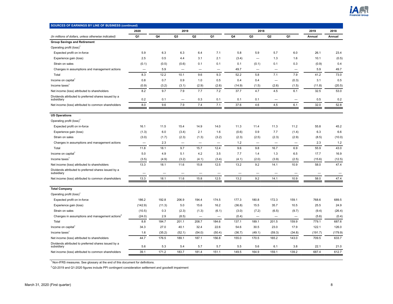

| SOURCES OF EARNINGS BY LINE OF BUSINESS (continued)                |                          |        |                          |                          |                          |        |                          |                          |                          |                          |         |
|--------------------------------------------------------------------|--------------------------|--------|--------------------------|--------------------------|--------------------------|--------|--------------------------|--------------------------|--------------------------|--------------------------|---------|
|                                                                    | 2020                     |        | 2019                     |                          |                          |        | 2018                     |                          |                          | 2019                     | 2018    |
| (In millions of dollars, unless otherwise indicated)               | Q1                       | Q4     | Q <sub>3</sub>           | Q <sub>2</sub>           | Q1                       | Q4     | Q3                       | Q <sub>2</sub>           | Q1                       | Annual                   | Annual  |
| <b>Group Savings and Retirement</b>                                |                          |        |                          |                          |                          |        |                          |                          |                          |                          |         |
| Operating profit (loss) <sup>1</sup>                               |                          |        |                          |                          |                          |        |                          |                          |                          |                          |         |
| Expected profit on in-force                                        | 5.9                      | 6.3    | 6.3                      | 6.4                      | 7.1                      | 5.8    | 5.9                      | 5.7                      | 6.0                      | 26.1                     | 23.4    |
| Experience gain (loss)                                             | 2.5                      | 0.5    | 4.4                      | 3.1                      | 2.1                      | (3.4)  | -                        | 1.3                      | 1.6                      | 10.1                     | (0.5)   |
| Strain on sales                                                    | (0.1)                    | (0.5)  | (0.6)                    | 0.1                      | 0.1                      | 0.1    | (0.1)                    | 0.1                      | 0.3                      | (0.9)                    | 0.4     |
| Changes in assumptions and management actions                      | -                        | 5.9    |                          | $\overline{\phantom{0}}$ | -                        | 49.7   |                          | $\overline{\phantom{0}}$ | -                        | 5.9                      | 49.7    |
| Total                                                              | 8.3                      | 12.2   | 10.1                     | 9.6                      | 9.3                      | 52.2   | 5.8                      | 7.1                      | 7.9                      | 41.2                     | 73.0    |
| Income on capital <sup>1</sup>                                     | 0.8                      | 0.7    | 0.9                      | 1.0                      | 0.5                      | 0.4    | 0.4                      | $\overline{\phantom{0}}$ | (0.3)                    | 3.1                      | 0.5     |
| Income taxes                                                       | (0.9)                    | (3.2)  | (3.1)                    | (2.9)                    | (2.6)                    | (14.9) | (1.5)                    | (2.6)                    | (1.5)                    | (11.8)                   | (20.5)  |
| Net income (loss) attributed to shareholders                       | 8.2                      | 9.7    | 7.9                      | 7.7                      | 7.2                      | 37.7   | 4.7                      | 4.5                      | 6.1                      | 32.5                     | 53.0    |
| Dividends attributed to preferred shares issued by a<br>subsidiary | 0.2                      | 0.1    |                          | 0.3                      | 0.1                      | 0.1    | 0.1                      |                          |                          | 0.5                      | 0.2     |
| Net income (loss) attributed to common shareholders                | 8.0                      | 9.6    | 7.9                      | 7.4                      | 7.1                      | 37.6   | 4.6                      | 4.5                      | 6.1                      | 32.0                     | 52.8    |
|                                                                    |                          |        |                          |                          |                          |        |                          |                          |                          |                          |         |
| <b>US Operations</b>                                               |                          |        |                          |                          |                          |        |                          |                          |                          |                          |         |
| Operating profit (loss) <sup>1</sup>                               |                          |        |                          |                          |                          |        |                          |                          |                          |                          |         |
| Expected profit on in-force                                        | 16.1                     | 11.5   | 15.4                     | 14.9                     | 14.0                     | 11.3   | 11.4                     | 11.3                     | 11.2                     | 55.8                     | 45.2    |
| Experience gain (loss)                                             | (1.3)                    | 6.0    | (3.4)                    | 2.1                      | 1.6                      | (0.6)  | 0.9                      | 7.7                      | (1.4)                    | 6.3                      | 6.6     |
| Strain on sales                                                    | (3.0)                    | (1.7)  | (2.3)                    | (1.3)                    | (3.2)                    | (2.3)  | (2.5)                    | (2.3)                    | (2.9)                    | (8.5)                    | (10.0)  |
| Changes in assumptions and management actions                      | $\overline{\phantom{0}}$ | 2.3    |                          |                          | $\overline{\phantom{0}}$ | 1.2    | $\overline{\phantom{0}}$ | $\overline{\phantom{0}}$ |                          | 2.3                      | $1.2$   |
| Total                                                              | 11.8                     | 18.1   | 9.7                      | 15.7                     | 12.4                     | 9.6    | 9.8                      | 16.7                     | 6.9                      | 55.9                     | 43.0    |
| Income on capital <sup>1</sup>                                     | 5.0                      | 4.9    | 5.1                      | 4.2                      | 3.5                      | 7.7    | 1.4                      | 1.3                      | 6.5                      | 17.7                     | 16.9    |
| Income taxes <sup>1</sup>                                          | (3.5)                    | (4.9)  | (3.2)                    | (4.1)                    | (3.4)                    | (4.1)  | (2.0)                    | (3.9)                    | (2.5)                    | (15.6)                   | (12.5)  |
| Net income (loss) attributed to shareholders                       | 13.3                     | 18.1   | 11.6                     | 15.8                     | 12.5                     | 13.2   | 9.2                      | 14.1                     | 10.9                     | 58.0                     | 47.4    |
| Dividends attributed to preferred shares issued by a<br>subsidiary |                          | -      | $\overline{\phantom{0}}$ | —                        | $\overline{\phantom{0}}$ | —      |                          | $\overline{\phantom{0}}$ | $\overline{\phantom{0}}$ | $\overline{\phantom{0}}$ |         |
| Net income (loss) attributed to common shareholders                | 13.3                     | 18.1   | 11.6                     | 15.8                     | 12.5                     | 13.2   | 9.2                      | 14.1                     | 10.9                     | 58.0                     | 47.4    |
|                                                                    |                          |        |                          |                          |                          |        |                          |                          |                          |                          |         |
| <b>Total Company</b>                                               |                          |        |                          |                          |                          |        |                          |                          |                          |                          |         |
| Operating profit (loss) <sup>1</sup>                               |                          |        |                          |                          |                          |        |                          |                          |                          |                          |         |
| Expected profit on in-force                                        | 186.2                    | 192.8  | 206.9                    | 194.4                    | 174.5                    | 177.3  | 180.8                    | 172.3                    | 159.1                    | 768.6                    | 689.5   |
| Experience gain (loss)                                             | (142.9)                  | (11.3) | 5.0                      | 15.6                     | 16.2                     | (36.8) | 15.5                     | 35.7                     | 10.5                     | 25.5                     | 24.9    |
| Strain on sales                                                    | (10.5)                   | 0.3    | (2.3)                    | (1.3)                    | (6.1)                    | (3.0)  | (7.2)                    | (6.5)                    | (9.7)                    | (9.4)                    | (26.4)  |
| Changes in assumptions and management actions <sup>2</sup>         | (24.0)                   | 2.9    | (8.5)                    | $\qquad \qquad -$        |                          | (0.4)  | -                        |                          | $\qquad \qquad -$        | (5.6)                    | (0.4)   |
| Total                                                              | 8.8                      | 184.7  | 201.1                    | 208.7                    | 184.6                    | 137.1  | 189.1                    | 201.5                    | 159.9                    | 779.1                    | 687.6   |
| Income on capital                                                  | 34.3                     | 27.0   | 40.1                     | 32.4                     | 22.6                     | 54.6   | 30.5                     | 23.0                     | 17.9                     | 122.1                    | 126.0   |
| Income taxes <sup>1</sup>                                          | 1.6                      | (35.2) | (52.1)                   | (54.0)                   | (50.4)                   | (36.7) | (49.1)                   | (59.3)                   | (34.8)                   | (191.7)                  | (179.9) |
| Net income (loss) attributed to shareholders                       | 44.7                     | 176.5  | 189.1                    | 187.1                    | 156.8                    | 155.0  | 170.5                    | 165.2                    | 143.0                    | 709.5                    | 633.7   |
| Dividends attributed to preferred shares issued by a<br>subsidiary | 5.6                      | 5.3    | 5.4                      | 5.7                      | 5.7                      | 5.5    | 5.6                      | 6.1                      | 3.8                      | 22.1                     | 21.0    |
| Net income (loss) attributed to common shareholders                | 39.1                     | 171.2  | 183.7                    | 181.4                    | 151.1                    | 149.5  | 164.9                    | 159.1                    | 139.2                    | 687.4                    | 612.7   |

 $2$  Q3-2019 and Q1-2020 figures include PPI contingent consideration settlement and goodwill impairment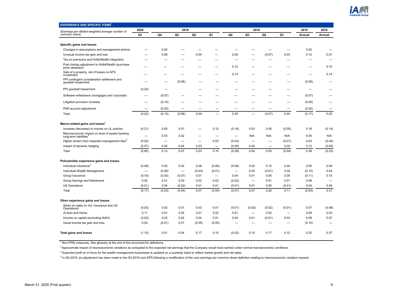

<span id="page-8-0"></span>

| <b>EXPERIENCE AND SPECIFIC ITEMS<sup>1</sup></b>                                      |        |                          |                          |                          |                          |        |                          |                |                   |        |        |
|---------------------------------------------------------------------------------------|--------|--------------------------|--------------------------|--------------------------|--------------------------|--------|--------------------------|----------------|-------------------|--------|--------|
| (Earnings per diluted weighted average number of                                      | 2020   |                          | 2019                     |                          |                          |        | 2018                     |                |                   | 2019   | 2018   |
| common share)                                                                         | Q1     | Q4                       | Q <sub>3</sub>           | Q <sub>2</sub>           | Q1                       | Q4     | Q3                       | Q <sub>2</sub> | Q1                | Annual | Annual |
|                                                                                       |        |                          |                          |                          |                          |        |                          |                |                   |        |        |
| Specific gains and losses                                                             |        |                          |                          |                          |                          |        |                          |                |                   |        |        |
| Changes in assumptions and management actions                                         |        | 0.02                     |                          |                          |                          |        |                          |                |                   | 0.02   |        |
| Unusual income tax gain and loss                                                      |        | 0.08                     |                          | 0.04                     |                          | 0.05   |                          | (0.07)         | 0.03              | 0.12   | 0.01   |
| Tax on premiums and HollisWealth integration                                          |        |                          |                          |                          |                          |        |                          |                |                   |        |        |
| Post closing adjustment to HollisWealth (purchase<br>price clawback)                  |        |                          |                          |                          |                          | 0.10   |                          |                |                   |        | 0.10   |
| Sale of a property, net of losses on AFS<br>investment                                |        |                          |                          |                          |                          | 0.14   |                          |                |                   |        | 0.14   |
| PPI contingent consideration settlement and<br>goodwill impairment                    |        |                          | (0.08)                   |                          |                          |        |                          |                |                   | (0.08) |        |
| PPI goodwill impairment                                                               | (0.22) |                          |                          |                          |                          |        |                          |                |                   |        |        |
| Software writedowns (mortgages and corporate)                                         |        | (0.07)                   |                          |                          |                          |        |                          |                |                   | (0.07) |        |
| Litigation provision increase                                                         |        | (0.14)                   |                          |                          |                          |        |                          |                |                   | (0.09) |        |
| PAR account adjustment                                                                |        | (0.02)                   |                          |                          |                          |        |                          |                |                   | (0.02) |        |
| Total                                                                                 | (0.22) | (0.13)                   | (0.08)                   | 0.04                     |                          | 0.29   |                          | (0.07)         | 0.03              | (0.17) | 0.25   |
| Macro-related gains and losses <sup>2</sup>                                           |        |                          |                          |                          |                          |        |                          |                |                   |        |        |
| Increase (decrease) in income on UL policies                                          | (0.21) | 0.05                     | 0.01                     |                          | 0.12                     | (0.16) | 0.02                     | 0.05           | (0.05)            | 0.18   | (0.14) |
| Macroeconomic impact on level of assets backing<br>long-term liabilities <sup>3</sup> |        | 0.03                     | 0.02                     |                          | -                        | -      | N/A                      | N/A            | N/A               | 0.05   | N/A    |
| Higher (lower) than expected management fees <sup>3</sup>                             | (0.02) | $\overline{\phantom{0}}$ | $\overline{\phantom{0}}$ | $\overline{\phantom{0}}$ | 0.03                     | (0.03) | $\overline{\phantom{0}}$ |                | (0.01)            | 0.03   | (0.04) |
| Impact of dynamic hedging                                                             | (0.57) | 0.05                     | 0.04                     | 0.03                     |                          | (0.09) | 0.02                     |                | 0.02              | 0.12   | (0.05) |
| Total                                                                                 | (0.80) | 0.13                     | 0.07                     | 0.03                     | 0.15                     | (0.28) | 0.04                     | 0.05           | (0.04)            | 0.38   | (0.23) |
| Policyholder experience gains and losses                                              |        |                          |                          |                          |                          |        |                          |                |                   |        |        |
| Individual Insurance <sup>4</sup>                                                     | (0.08) | 0.03                     | 0.02                     | 0.06                     | (0.06)                   | (0.08) | 0.02                     | 0.10           | 0.04              | 0.05   | 0.08   |
| Individual Wealth Management                                                          | -      | (0.06)                   | $\overline{\phantom{0}}$ | (0.03)                   | (0.01)                   | -      | 0.03                     | (0.01)         | 0.02              | (0.10) | 0.04   |
| Group Insurance                                                                       | (0.10) | (0.05)                   | (0.07)                   | 0.01                     | $\overline{\phantom{0}}$ | 0.04   | 0.01                     | 0.05           | 0.05              | (0.11) | 0.15   |
| Group Savings and Retirement                                                          | 0.02   | 0.01                     | 0.03                     | 0.02                     | 0.02                     | (0.02) | $\overline{\phantom{0}}$ | 0.01           | 0.01              | 0.08   |        |
| <b>US Operations</b>                                                                  | (0.01) | 0.04                     | (0.02)                   | 0.01                     | 0.01                     | (0.01) | 0.01                     | 0.05           | (0.01)            | 0.04   | 0.04   |
| Total                                                                                 | (0.17) | (0.03)                   | (0.04)                   | 0.07                     | (0.04)                   | (0.07) | 0.07                     | 0.20           | 0.11              | (0.04) | 0.31   |
| Other experience gains and losses                                                     |        |                          |                          |                          |                          |        |                          |                |                   |        |        |
| Strain on sales (in Ind. Insurance and US<br>Operations)                              | (0.03) | 0.02                     | 0.01                     | 0.03                     | 0.01                     | (0.01) | (0.02)                   | (0.02)         | (0.01)            | 0.07   | (0.06) |
| iA Auto and Home                                                                      | 0.11   | 0.01                     | 0.05                     | 0.01                     | 0.02                     | 0.01   | $\overline{\phantom{0}}$ | 0.02           | $\qquad \qquad -$ | 0.09   | 0.03   |
| Income on capital (excluding iAAH)                                                    | (0.03) | 0.02                     | 0.02                     | 0.04                     | 0.01                     | 0.04   | 0.01                     | (0.01)         | 0.03              | 0.09   | 0.07   |
| Usual income tax gain and loss                                                        | 0.04   | (0.01)                   | 0.01                     | (0.05)                   | (0.05)                   |        |                          |                |                   | (0.10) |        |
|                                                                                       |        |                          |                          |                          |                          |        |                          |                |                   |        |        |
| <b>Total gains and losses</b>                                                         | (1.10) | 0.01                     | 0.04                     | 0.17                     | 0.10                     | (0.02) | 0.10                     | 0.17           | 0.12              | 0.32   | 0.37   |

<sup>2</sup> Approximate impact of macroeconomic variations as compared to the expected net earnings that the Company would have earned under normal macroeconomic conditions.

 $3$  Expected profit on in-force for the wealth management businesses is updated on a quarterly basis to reflect market growth and net sales.

<sup>4</sup> In Q4-2019, an adjustment has been made to the Q3-2019 core EPS following a modification of the core earnings per common share definition relating to macroeconomic variation impacts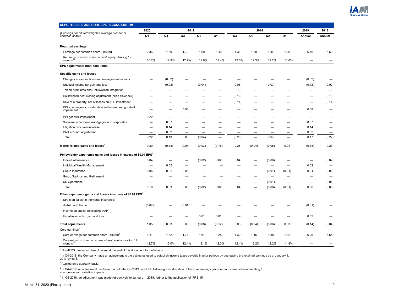

<span id="page-9-0"></span>

| <b>REPORTED EPS AND CORE EPS RECONCILIATION</b>                                 |                          |        |                          |        |        |                          |                          |                          |          |                          |        |
|---------------------------------------------------------------------------------|--------------------------|--------|--------------------------|--------|--------|--------------------------|--------------------------|--------------------------|----------|--------------------------|--------|
|                                                                                 | 2020                     |        | 2019                     |        |        |                          | 2018                     |                          |          | 2019                     | 2018   |
| (Earnings per diluted weighted average number of<br>common share)               | Q1                       | Q4     | Q <sub>3</sub>           | Q2     | Q1     | Q4                       | Q <sub>3</sub>           | Q <sub>2</sub>           | Q1       | Annual                   | Annual |
|                                                                                 |                          |        |                          |        |        |                          |                          |                          |          |                          |        |
| <b>Reported earnings</b>                                                        |                          |        |                          |        |        |                          |                          |                          |          |                          |        |
| Earnings per common share - diluted                                             | 0.36                     | 1.59   | 1.72                     | 1.69   | 1.40   | 1.36                     | 1.50                     | 1.44                     | 1.29     | 6.40                     | 5.59   |
| Return on common shareholders' equity - trailing 12<br>months <sup>1</sup>      | 10.7%                    | 12.9%  | 12.7%                    | 12.6%  | 12.4%  | 12.5%                    | 12.3%                    | 12.2%                    | 11.8%    |                          |        |
| EPS adjustments (non-core items) <sup>1</sup>                                   |                          |        |                          |        |        |                          |                          |                          |          |                          |        |
| Specific gains and losses                                                       |                          |        |                          |        |        |                          |                          |                          |          |                          |        |
| Changes in assumptions and management actions                                   |                          | (0.02) |                          |        |        |                          |                          |                          |          | (0.02)                   |        |
| Unusual income tax gain and loss                                                |                          | (0.08) |                          | (0.04) |        | (0.05)                   |                          | 0.07                     |          | (0.12)                   | 0.02   |
| Tax on premiums and HollisWealth integration                                    |                          |        |                          |        |        | $\overline{\phantom{0}}$ |                          |                          |          |                          |        |
| Holliswealth post closing adjustment (price clawback)                           |                          |        |                          |        |        | (0.10)                   |                          |                          |          |                          | (0.10) |
| Sale of a property, net of losses on AFS investment                             |                          |        |                          |        |        | (0.14)                   |                          |                          |          |                          | (0.14) |
| PPI's contingent consideration settlement and goodwill<br>impairment            |                          |        | 0.08                     |        |        |                          |                          |                          |          | 0.08                     |        |
| PPI goodwill impairment                                                         | 0.22                     |        |                          |        |        |                          |                          |                          |          |                          |        |
| Software writedowns (mortgages and corporate)                                   | $\overline{\phantom{0}}$ | 0.07   |                          |        |        |                          |                          |                          |          | 0.07                     |        |
| Litigation provision increase                                                   | -                        | 0.14   |                          |        |        |                          |                          |                          |          | 0.14                     |        |
| PAR account adjustment                                                          | -                        | 0.02   | $\overline{\phantom{0}}$ | -      |        |                          |                          |                          |          | 0.02                     |        |
| Total                                                                           | 0.22                     | 0.13   | 0.08                     | (0.04) |        | (0.29)                   | $\overline{\phantom{0}}$ | 0.07                     | $\equiv$ | 0.17                     | (0.22) |
| Macro-related gains and losses <sup>4</sup>                                     | 0.80                     | (0.13) | (0.07)                   | (0.03) | (0.15) | 0.28                     | (0.04)                   | (0.05)                   | 0.04     | (0.38)                   | 0.23   |
| Policyholder experience gains and losses in excess of \$0.04 EPS <sup>3</sup>   |                          |        |                          |        |        |                          |                          |                          |          |                          |        |
| Individual Insurance                                                            | 0.04                     |        |                          | (0.02) | 0.02   | 0.04                     |                          | (0.06)                   |          | $\overline{\phantom{0}}$ | (0.02) |
| Individual Wealth Management                                                    | $\overline{\phantom{0}}$ | 0.02   |                          |        |        |                          |                          | $\overline{\phantom{0}}$ |          | 0.02                     |        |
| Group Insurance                                                                 | 0.06                     | 0.01   | 0.03                     |        |        |                          |                          | (0.01)                   | (0.01)   | 0.04                     | (0.02) |
| Group Savings and Retirement                                                    |                          |        |                          |        |        |                          |                          |                          |          |                          |        |
| <b>US Operations</b>                                                            |                          |        |                          |        |        |                          | —                        | (0.01)                   |          | $\overline{\phantom{0}}$ | (0.01) |
| Total                                                                           | 0.10                     | 0.03   | 0.03                     | (0.02) | 0.02   | 0.04                     |                          | (0.08)                   | (0.01)   | 0.06                     | (0.05) |
| Other experience gains and losses in excess of \$0.04 EPS <sup>3</sup>          |                          |        |                          |        |        |                          |                          |                          |          |                          |        |
| Strain on sales (in Individual Insurance)                                       |                          |        |                          |        |        |                          |                          |                          |          |                          |        |
| iA Auto and Home                                                                | (0.07)                   |        | (0.01)                   |        |        |                          |                          |                          |          | (0.01)                   |        |
| Income on capital (excluding iAAH)                                              |                          |        |                          |        |        |                          |                          |                          |          | $\overline{\phantom{0}}$ |        |
| Usual income tax gain and loss                                                  |                          |        |                          | 0.01   | 0.01   |                          |                          |                          |          | 0.02                     |        |
| <b>Total adjustments</b>                                                        | 1.05                     | 0.03   | 0.03                     | (0.08) | (0.12) | 0.03                     | (0.04)                   | (0.06)                   | 0.03     | (0.14)                   | (0.04) |
| Core earnings $1$                                                               |                          |        |                          |        |        |                          |                          |                          |          |                          |        |
| Core earnings per common share - diluted <sup>4</sup>                           | 1.41                     | 1.62   | 1.75                     | 1.61   | 1.28   | 1.39                     | 1.46                     | 1.38                     | 1.32     | 6.26                     | 5.55   |
| Core return on common shareholders' equity - trailing 12<br>months <sup>2</sup> | 12.7%                    | 13.0%  | 12.4%                    | 12.1%  | 12.0%  | 12.4%                    | 12.2%                    | 12.2%                    | 11.9%    |                          |        |

<sup>2</sup> In Q4-2018, the Company made an adjustment to the estimates used to establish income taxes payable in prior periods by decreasing the retained earnings as at January 1,<br>2017 by 58 \$.

<sup>3</sup> Applied on a quarterly basis.

<sup>4</sup> In Q4-2019, an adjustment has been made to the Q3-2019 core EPS following a modification of the core earnings per common share definition relating to<br>macroeconomic variation impacts

<sup>5</sup> In Q3-2018, an adjustment was made retroactively to January 1, 2018, further to the application of IFRS-15.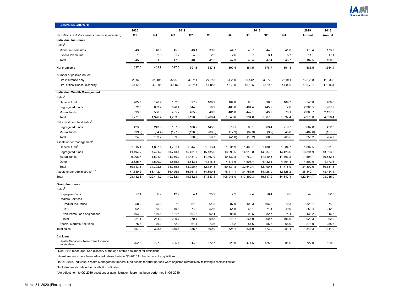

<span id="page-10-0"></span>

| <b>BUSINESS GROWTH</b>                               |                |           |                |                |           |           |                |                |                |           |           |
|------------------------------------------------------|----------------|-----------|----------------|----------------|-----------|-----------|----------------|----------------|----------------|-----------|-----------|
|                                                      | 2020           |           | 2019           |                |           |           |                | 2018           |                | 2019      | 2018      |
| (In millions of dollars, unless otherwise indicated) | Q <sub>1</sub> | Q4        | Q <sub>3</sub> | Q <sub>2</sub> | Q1        | Q4        | Q <sub>3</sub> | Q <sub>2</sub> | Q <sub>1</sub> | Annual    | Annual    |
| <b>Individual Insurance</b>                          |                |           |                |                |           |           |                |                |                |           |           |
| Sales <sup>1</sup>                                   |                |           |                |                |           |           |                |                |                |           |           |
| Minimum Premiums                                     | 43.3           | 48.5      | 45.8           | 43.1           | 39.0      | 44.7      | 43.7           | 44.3           | 41.0           | 176.4     | 173.7     |
| <b>Excess Premiums</b>                               | 1.9            | 2.8       | 1.2            | 4.9            | 2.2       | 2.6       | 5.7            | 3.1            | 5.7            | 11.1      | 17.1      |
| Total                                                | 45.2           | 51.3      | 47.0           | 48.0           | 41.2      | 47.3      | 49.4           | 47.4           | 46.7           | 187.5     | 190.8     |
| Net premiums                                         | 397.5          | 409.9     | 397.5          | 391.3          | 387.8     | 399.4     | 384.5          | 378.7          | 391.8          | 1,586.5   | 1,554.4   |
| Number of policies issued                            |                |           |                |                |           |           |                |                |                |           |           |
| Life insurance only                                  | 28,929         | 31,485    | 32,379         | 30,711         | 27,713    | 31,230    | 30,442         | 30,720         | 26,941         | 122,288   | 119,333   |
| Life, critical illness, disability                   | 44,558         | 47,995    | 49,160         | 46,714         | 41,858    | 46,729    | 45,125         | 45,145         | 41,035         | 185,727   | 178,034   |
| <b>Individual Wealth Management</b>                  |                |           |                |                |           |           |                |                |                |           |           |
| Sales <sup>1</sup>                                   |                |           |                |                |           |           |                |                |                |           |           |
| General fund                                         | 205.7          | 176.7     | 162.0          | 97.9           | 109.2     | 104.8     | 88.1           | 98.0           | 109.7          | 545.8     | 400.6     |
| Segregated funds                                     | 872.3          | 633.4     | 576.4          | 544.8          | 610.9     | 460.0     | 464.4          | 445.9          | 617.6          | 2,365.5   | 1,987.9   |
| Mutual funds                                         | 693.0          | 566.3     | 465.2          | 485.9          | 546.3     | 481.8     | 442.1          | 543.9          | 670.1          | 2,063.7   | 2,137.9   |
| Total                                                | 1,771.0        | 1,376.4   | 1,203.6        | 1,128.6        | 1,266.4   | 1,046.6   | 994.6          | 1,087.8        | 1,397.4        | 4,975.0   | 4,526.4   |
| Net investment fund sales <sup>1</sup>               |                |           |                |                |           |           |                |                |                |           |           |
| Segregated funds                                     | 423.8          | 243.6     | 167.8          | 106.2          | 145.2     | 76.1      | 63.1           | 63.4           | 219.7          | 662.8     | 422.3     |
| Mutual funds                                         | (99.2)         | (54.4)    | (127.9)        | (136.8)        | (88.5)    | (117.9)   | (82.3)         | (3.2)          | 45.8           | (407.6)   | (157.6)   |
| Total                                                | 324.6          | 189.2     | 39.9           | (30.6)         | 56.7      | (41.8)    | (19.2)         | 60.2           | 265.5          | 255.2     | 264.7     |
| Assets under management <sup>2</sup>                 |                |           |                |                |           |           |                |                |                |           |           |
| General fund <sup>3</sup>                            | 1,915.1        | 1,807.5   | 1,731.4        | 1,644.9        | 1,613.4   | 1,531.9   | 1,463.1        | 1,430.3        | 1,384.7        | 1,807.5   | 1,531.9   |
| Segregated funds                                     | 14,893.9       | 16,391.9  | 15,748.3       | 15,431.7       | 15,135.6  | 13,993.5  | 14,913.8       | 14,837.3       | 14,426.6       | 16,391.9  | 13,993.5  |
| Mutual funds                                         | 9,908.7        | 11,594.1  | 11,360.2       | 11,431.0       | 11,467.0  | 10,832.8  | 11,760.1       | 11,740.3       | 11,503.2       | 11,594.1  | 10,832.8  |
| Other                                                | 3,825.7        | 4,509.0   | 4,515.7        | 4,513.1        | 4,518.3   | 4,173.6   | 4,503.4        | 4,482.4        | 4,404.4        | 4,509.0   | 4,173.6   |
| Total                                                | 30,543.4       | 34,302.6  | 33,355.6       | 33,020.7       | 32,734.3  | 30,531.8  | 32,640.4       | 32,490.3       | 31,718.9       | 34,302.6  | 30,531.8  |
| Assets under administration <sup>45</sup>            | 77,639.2       | 88,142.1  | 86,426.5       | 86,361.4       | 84,899.1  | 78,414.1  | 84,751.9       | 84,126.9       | 82,628.2       | 88,142.1  | 78,414.1  |
| Total                                                | 108,182.6      | 122,444.7 | 119,782.1      | 119,382.1      | 117,633.4 | 108,945.9 | 117,392.3      | 116,617.2      | 114,347.1      | 122,444.7 | 108,945.9 |
| <b>Group Insurance</b>                               |                |           |                |                |           |           |                |                |                |           |           |
| Sales <sup>1</sup>                                   |                |           |                |                |           |           |                |                |                |           |           |
| <b>Employee Plans</b>                                | 57.1           | 6.2       | 12.9           | 4.1            | 25.9      | 7.2       | 9.4            | 56.4           | 19.5           | 49.1      | 92.5      |
| <b>Dealers Services</b>                              |                |           |                |                |           |           |                |                |                |           |           |
| Creditor Insurance                                   | 58.9           | 75.0      | 97.6           | 91.3           | 64.8      | 87.0      | 108.3          | 106.6          | 72.3           | 328.7     | 374.2     |
| P&C                                                  | 62.0           | 55.9      | 70.6           | 74.3           | 52.6      | 54.8      | 66.1           | 71.4           | 49.9           | 253.4     | 242.2     |
| Non-Prime Loan originations                          | 103.2          | 110.1     | 131.5          | 104.5          | 92.1      | 98.9      | 90.5           | 82.7           | 74.4           | 438.2     | 346.5     |
| Total                                                | 224.1          | 241.0     | 299.7          | 270.1          | 209.5     | 240.7     | 264.9          | 260.7          | 196.6          | 1,020.3   | 962.9     |
| <b>Special Markets Solutions</b>                     | 75.8           | 76.3      | 62.9           | 61.1           | 73.6      | 76.2      | 57.6           | 56.8           | 65.0           | 273.9     | 255.6     |
| <b>Total sales</b>                                   | 357.0          | 323.5     | 375.5          | 335.3          | 309.0     | 324.1     | 331.9          | 373.9          | 281.1          | 1,343.3   | 1,311.0   |
| Car loans                                            |                |           |                |                |           |           |                |                |                |           |           |
| Dealer Services - Non-Prime Finance<br>receivables   | 762.5          | 727.0     | 685.1          | 614.3          | 572.7     | 529.9     | 474.5          | 425.3          | 381.6          | 727.0     | 529.9     |

 $2$  Asset amounts have been adjusted retroactively in Q3-2018 further to recent acquisitions.

 $3$  In Q3-2018, Individual Wealth Management general fund assets for prior periods were adjusted retroactively following a reclassification.

 $^4$  Includes assets related to distribution affiliates.

<sup>5</sup> An adjustment to Q2 2019 asset under administration figure has been performed in Q3 2019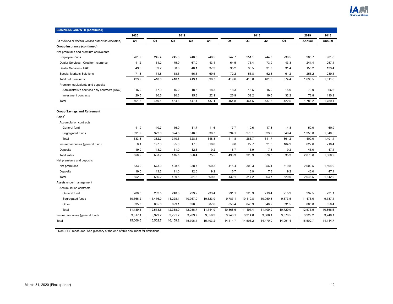

| <b>BUSINESS GROWTH (continued)</b>                   |          |          |                |                |          |          |                |                |          |          |          |
|------------------------------------------------------|----------|----------|----------------|----------------|----------|----------|----------------|----------------|----------|----------|----------|
|                                                      | 2020     |          | 2019           |                |          |          | 2018           |                |          | 2019     | 2018     |
| (In millions of dollars, unless otherwise indicated) | Q1       | Q4       | Q <sub>3</sub> | Q <sub>2</sub> | Q1       | Q4       | Q <sub>3</sub> | Q <sub>2</sub> | Q1       | Annual   | Annual   |
| Group Insurance (continued)                          |          |          |                |                |          |          |                |                |          |          |          |
| Net premiums and premium equivalents                 |          |          |                |                |          |          |                |                |          |          |          |
| <b>Employee Plans</b>                                | 261.9    | 245.4    | 245.0          | 248.8          | 246.5    | 247.7    | 251.1          | 244.3          | 238.5    | 985.7    | 981.6    |
| Dealer Services - Creditor Insurance                 | 41.2     | 54.2     | 75.9           | 67.9           | 43.4     | 64.5     | 75.4           | 73.9           | 43.3     | 241.4    | 257.1    |
| Dealer Services - P&C                                | 49.5     | 39.2     | 38.6           | 40.1           | 37.3     | 35.2     | 35.5           | 31.3           | 31.4     | 155.2    | 133.4    |
| <b>Special Markets Solutions</b>                     | 71.3     | 71.8     | 58.6           | 56.3           | 69.5     | 72.2     | 53.8           | 52.3           | 61.2     | 256.2    | 239.5    |
| Total net premiums                                   | 423.9    | 410.6    | 418.1          | 413.1          | 396.7    | 419.6    | 415.8          | 401.8          | 374.4    | 1,638.5  | 1,611.6  |
| Premium equivalents and deposits                     |          |          |                |                |          |          |                |                |          |          |          |
| Administrative services only contracts (ASO)         | 16.9     | 17.9     | 16.2           | 18.5           | 18.3     | 18.3     | 16.5           | 15.9           | 15.9     | 70.9     | 66.6     |
| Investment contracts                                 | 20.5     | 20.6     | 20.3           | 15.8           | 22.1     | 26.9     | 32.2           | 19.6           | 32.2     | 78.8     | 110.9    |
| Total                                                | 461.3    | 449.1    | 454.6          | 447.4          | 437.1    | 464.8    | 464.5          | 437.3          | 422.5    | 1,788.2  | 1,789.1  |
|                                                      |          |          |                |                |          |          |                |                |          |          |          |
| <b>Group Savings and Retirement</b>                  |          |          |                |                |          |          |                |                |          |          |          |
| Sales <sup>1</sup>                                   |          |          |                |                |          |          |                |                |          |          |          |
| Accumulation contracts                               |          |          |                |                |          |          |                |                |          |          |          |
| General fund                                         | 41.9     | 10.7     | 16.0           | 11.7           | 11.6     | 17.7     | 10.6           | 17.8           | 14.8     | 50.0     | 60.9     |
| Segregated funds                                     | 591.9    | 372.0    | 324.5          | 316.8          | 336.7    | 394.1    | 276.1          | 323.9          | 346.4    | 1,350.0  | 1,340.5  |
| Total                                                | 633.8    | 382.7    | 340.5          | 328.5          | 348.3    | 411.8    | 286.7          | 341.7          | 361.2    | 1,400.0  | 1,401.4  |
| Insured annuities (general fund)                     | 6.1      | 197.3    | 95.0           | 17.3           | 318.0    | 9.8      | 22.7           | 21.0           | 164.9    | 627.6    | 218.4    |
| Deposits                                             | 19.0     | 13.2     | 11.0           | 12.6           | 9.2      | 16.7     | 13.9           | 7.3            | 9.2      | 46.0     | 47.1     |
| <b>Total sales</b>                                   | 658.9    | 593.2    | 446.5          | 358.4          | 675.5    | 438.3    | 323.3          | 370.0          | 535.3    | 2,073.6  | 1,666.9  |
| Net premiums and deposits                            |          |          |                |                |          |          |                |                |          |          |          |
| Net premiums                                         | 633.0    | 573.0    | 428.5          | 338.7          | 660.3    | 415.4    | 303.3          | 356.4          | 519.8    | 2,000.5  | 1,594.9  |
| Deposits                                             | 19.0     | 13.2     | 11.0           | 12.6           | 9.2      | 16.7     | 13.9           | 7.3            | 9.2      | 46.0     | 47.1     |
| Total                                                | 652.0    | 586.2    | 439.5          | 351.3          | 669.5    | 432.1    | 317.2          | 363.7          | 529.0    | 2,046.5  | 1,642.0  |
| Assets under management                              |          |          |                |                |          |          |                |                |          |          |          |
| Accumulation contracts                               |          |          |                |                |          |          |                |                |          |          |          |
| General fund                                         | 288.0    | 232.5    | 240.8          | 233.2          | 233.4    | 231.1    | 226.3          | 219.4          | 215.9    | 232.5    | 231.1    |
| Segregated funds                                     | 10,566.2 | 11,476.0 | 11,228.1       | 10,957.0       | 10,623.9 | 9,787.1  | 10,119.8       | 10,050.3       | 9,673.5  | 11,476.0 | 9,787.1  |
| Other                                                | 335.3    | 865.0    | 899.1          | 896.5          | 887.6    | 850.4    | 845.3          | 840.2          | 831.5    | 865.0    | 850.4    |
| Total                                                | 11,189.5 | 12,573.5 | 12,368.0       | 12,086.7       | 11,744.9 | 10,868.6 | 11,191.4       | 11,109.9       | 10,720.9 | 12,573.5 | 10,868.6 |
| Insured annuities (general fund)                     | 3,817.1  | 3,929.2  | 3,791.2        | 3,709.7        | 3,658.3  | 3,246.1  | 3,314.8        | 3,360.1        | 3,370.5  | 3,929.2  | 3,246.1  |
| Total                                                | 15,006.6 | 16,502.7 | 16,159.2       | 15,796.4       | 15,403.2 | 14,114.7 | 14,506.2       | 14,470.0       | 14,091.4 | 16,502.7 | 14,114.7 |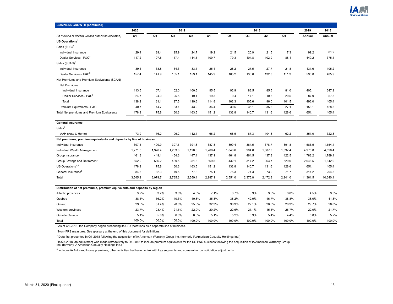

| <b>BUSINESS GROWTH (continued)</b>                                       |         |         |         |         |         |         |                |                |         |          |          |
|--------------------------------------------------------------------------|---------|---------|---------|---------|---------|---------|----------------|----------------|---------|----------|----------|
|                                                                          | 2020    |         | 2019    |         |         |         | 2018           |                |         | 2019     | 2018     |
| (In millions of dollars, unless otherwise indicated)                     | Q1      | Q4      | Q3      | Q2      | Q1      | Q4      | Q <sub>3</sub> | Q <sub>2</sub> | Q1      | Annual   | Annual   |
| US Operations <sup>1</sup>                                               |         |         |         |         |         |         |                |                |         |          |          |
| Sales $(SUS)^2$                                                          |         |         |         |         |         |         |                |                |         |          |          |
| Individual Insurance                                                     | 29.4    | 29.4    | 25.9    | 24.7    | 19.2    | 21.5    | 20.9           | 21.5           | 17.3    | 99.2     | 81.2     |
| Dealer Services - P&C <sup>3</sup>                                       | 117.2   | 107.6   | 117.4   | 114.5   | 109.7   | 79.3    | 104.8          | 102.9          | 88.1    | 449.2    | 375.1    |
| Sales (\$CAN) <sup>2</sup>                                               |         |         |         |         |         |         |                |                |         |          |          |
| Individual Insurance                                                     | 39.4    | 38.8    | 34.3    | 33.1    | 25.4    | 28.2    | 27.5           | 27.7           | 21.8    | 131.6    | 105.2    |
| Dealer Services - P&C <sup>3</sup>                                       | 157.4   | 141.9   | 155.1   | 153.1   | 145.9   | 105.2   | 136.6          | 132.8          | 111.3   | 596.0    | 485.9    |
| Net Premiums and Premium Equivalents (\$CAN)                             |         |         |         |         |         |         |                |                |         |          |          |
| Net Premiums                                                             |         |         |         |         |         |         |                |                |         |          |          |
| Individual Insurance                                                     | 113.5   | 107.1   | 102.0   | 100.5   | 95.5    | 92.9    | 88.5           | 85.5           | 81.0    | 405.1    | 347.9    |
| Dealer Services - P&C <sup>3</sup>                                       | 24.7    | 24.0    | 25.5    | 19.1    | 19.3    | 9.4     | 17.1           | 10.5           | 20.5    | 87.9     | 57.5     |
| Total                                                                    | 138.2   | 131.1   | 127.5   | 119.6   | 114.8   | 102.3   | 105.6          | 96.0           | 101.5   | 493.0    | 405.4    |
| Premium Equivalents - P&C                                                | 40.7    | 44.7    | 33.1    | 43.9    | 36.4    | 30.5    | 35.1           | 35.6           | 27.1    | 158.1    | 128.3    |
| Total Net premiums and Premium Equivalents                               | 178.9   | 175.8   | 160.6   | 163.5   | 151.2   | 132.8   | 140.7          | 131.6          | 128.6   | 651.1    | 405.4    |
|                                                                          |         |         |         |         |         |         |                |                |         |          |          |
| <b>General Insurance</b>                                                 |         |         |         |         |         |         |                |                |         |          |          |
| Sales <sup>2</sup>                                                       |         |         |         |         |         |         |                |                |         |          |          |
| iAAH (Auto & Home)                                                       | 73.9    | 76.2    | 96.2    | 112.4   | 66.2    | 68.5    | 87.3           | 104.8          | 62.2    | 351.0    | 322.8    |
| Net premiums, premium equivalents and deposits by line of business       |         |         |         |         |         |         |                |                |         |          |          |
| Individual Insurance                                                     | 397.5   | 409.9   | 397.5   | 391.3   | 387.8   | 399.4   | 384.5          | 378.7          | 391.8   | 1,586.5  | 1,554.4  |
| Individual Wealth Management                                             | 1,771.0 | 1,376.4 | 1,203.6 | 1,128.6 | 1,266.4 | 1,046.6 | 994.6          | 1,087.8        | 1,397.4 | 4,975.0  | 4,526.4  |
| Group Insurance                                                          | 461.3   | 449.1   | 454.6   | 447.4   | 437.1   | 464.8   | 464.5          | 437.3          | 422.5   | 1,788.2  | 1,789.1  |
| Group Savings and Retirement                                             | 652.0   | 586.2   | 439.5   | 351.3   | 669.5   | 432.1   | 317.2          | 363.7          | 529.0   | 2,046.5  | 1,642.0  |
| US Operations $1,4$                                                      | 178.9   | 175.8   | 160.6   | 163.5   | 151.2   | 132.8   | 140.7          | 131.6          | 128.6   | 651.1    | 405.4    |
| General Insurance <sup>5</sup>                                           | 84.5    | 82.3    | 79.5    | 77.3    | 75.1    | 75.3    | 74.3           | 73.2           | 71.7    | 314.2    | 294.5    |
| Total                                                                    | 3,545.2 | 3,079.7 | 2,735.3 | 2,559.4 | 2,987.1 | 2,551.0 | 2,375.8        | 2,472.3        | 2,941.0 | 11,361.5 | 10,340.1 |
|                                                                          |         |         |         |         |         |         |                |                |         |          |          |
| Distribution of net premiums, premium equivalents and deposits by region |         |         |         |         |         |         |                |                |         |          |          |
| Atlantic provinces                                                       | 3.2%    | 3.2%    | 3.6%    | 4.0%    | 7.1%    | 3.7%    | 3.9%           | 3.8%           | 3.8%    | 4.5%     | 3.8%     |
| Quebec                                                                   | 38.5%   | 36.2%   | 40.3%   | 40.8%   | 35.3%   | 38.2%   | 42.0%          | 46.7%          | 38.8%   | 38.0%    | 41.3%    |
| Ontario                                                                  | 29.5%   | 31.4%   | 28.6%   | 25.8%   | 32.3%   | 30.3%   | 27.1%          | 28.6%          | 26.3%   | 29.7%    | 28.0%    |
| Western provinces                                                        | 23.7%   | 23.4%   | 21.5%   | 22.9%   | 20.2%   | 22.6%   | 21.1%          | 15.5%          | 26.7%   | 22.0%    | 21.7%    |
| Outside Canada                                                           | 5.1%    | 5.8%    | 6.0%    | 6.5%    | 5.1%    | 5.2%    | 5.9%           | 5.4%           | 4.4%    | 5.8%     | 5.2%     |
| Total                                                                    | 100.0%  | 100.0%  | 100.0%  | 100.0%  | 100.0%  | 100.0%  | 100.0%         | 100.0%         | 100.0%  | 100.0%   | 100.0%   |

<sup>1</sup> As of Q1-2018, the Company began presenting its US Operations as a separate line of business.

 $2$  Non-IFRS measures. See glossary at the end of this document for definitions.

<sup>3</sup> Data first presented in Q1-2018 following the acquisition of iA American Warranty Group Inc. (formerly iA American Casualty Holdings Inc.)

<sup>4</sup> In Q3-2018, an adjustment was made retroactively to Q1-2018 to include premium equivalents for the US P&C business following the acquisition of iA American Warranty Group<br>Inc. (formerly iA American Casualty Holdings In

<sup>5</sup> Includes iA Auto and Home premiums, other activities that have no link with key segments and some minor consolidation adjustments.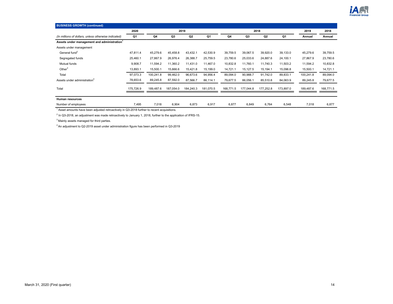

| <b>BUSINESS GROWTH (continued)</b>                      |                |           |           |           |                |           |                |                |           |           |           |
|---------------------------------------------------------|----------------|-----------|-----------|-----------|----------------|-----------|----------------|----------------|-----------|-----------|-----------|
|                                                         | 2020           |           |           | 2019      |                |           |                | 2018           |           | 2019      | 2018      |
| (In millions of dollars, unless otherwise indicated)    | Q <sub>1</sub> | Q4        | Q3        | Q2        | Q <sub>1</sub> | Q4        | Q <sub>3</sub> | Q <sub>2</sub> | Q1        | Annual    | Annual    |
| Assets under management and administration <sup>1</sup> |                |           |           |           |                |           |                |                |           |           |           |
| Assets under management                                 |                |           |           |           |                |           |                |                |           |           |           |
| General fund <sup>2</sup>                               | 47,811.4       | 45,279.6  | 45,458.8  | 43,432.1  | 42,530.9       | 39,759.5  | 39,067.5       | 39,920.0       | 39,133.0  | 45,279.6  | 39,759.5  |
| Segregated funds                                        | 25,460.1       | 27,867.9  | 26,976.4  | 26,388.7  | 25,759.5       | 23,780.6  | 25,033.6       | 24,887.6       | 24,100.1  | 27,867.9  | 23,780.6  |
| Mutual funds                                            | 9,908.7        | 11,594.2  | 11,360.2  | 11,431.0  | 11,467.0       | 10,832.8  | 11,760.1       | 11,740.3       | 11,503.2  | 11,594.2  | 10,832.8  |
| Other $3$                                               | 13,893.1       | 15,500.1  | 15,666.6  | 15,421.8  | 15,199.0       | 14,721.1  | 15,127.5       | 15,194.1       | 15,096.8  | 15,500.1  | 14,721.1  |
| Total                                                   | 97,073.3       | 100,241.8 | 99,462.0  | 96,673.6  | 94,956.4       | 89,094.0  | 90,988.7       | 91,742.0       | 89,833.1  | 100,241.8 | 89,094.0  |
| Assets under administration <sup>4</sup>                | 78,653.6       | 89,245.8  | 87,592.0  | 87,566.7  | 86,114.1       | 79,677.5  | 86,056.1       | 85,510.8       | 84,063.9  | 89,245.8  | 79,677.5  |
| Total                                                   | 175,726.9      | 189,487.6 | 187,054.0 | 184,240.3 | 181,070.5      | 168,771.5 | 177,044.8      | 177,252.8      | 173,897.0 | 189,487.6 | 168,771.5 |
| Human resources                                         |                |           |           |           |                |           |                |                |           |           |           |
| Number of employees                                     | 7,495          | 7,018     | 6,904     | 6,873     | 6,917          | 6,877     | 6,849          | 6,764          | 6,548     | 7,018     | 6,877     |

 $1$  Asset amounts have been adjusted retroactively in Q3-2018 further to recent acquisitions.

<sup>2</sup> In Q3-2018, an adjustment was made retroactively to January 1, 2018, further to the application of IFRS-15.

<sup>3</sup> Mainly assets managed for third parties.

<sup>4</sup>An adjustment to Q2-2019 asset under administration figure has been performed in Q3-2019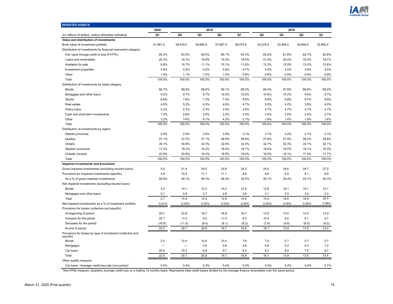

<span id="page-14-0"></span>

| <b>INVESTED ASSETS</b>                                                   |          |          |                |                |          |          |                |                |          |
|--------------------------------------------------------------------------|----------|----------|----------------|----------------|----------|----------|----------------|----------------|----------|
|                                                                          | 2020     |          | 2019           |                |          |          | 2018           |                |          |
| (In millions of dollars, unless otherwise indicated)                     | Q1       | Q4       | Q <sub>3</sub> | Q <sub>2</sub> | Q1       | Q4       | Q <sub>3</sub> | Q <sub>2</sub> | Q1       |
| Value and distribution of investments                                    |          |          |                |                |          |          |                |                |          |
| Book value of investment portfolio                                       | 41,561.2 | 39,919.2 | 39,856.8       | 37,987.9       | 36,572.6 | 34,578.9 | 33,994.0       | 34,805.4       | 33,992.4 |
| Distribution of investments by financial instrument category             |          |          |                |                |          |          |                |                |          |
| Fair value through profit or loss (FVTPL)                                | 65.0%    | 63.9%    | 64.5%          | 65.1%          | 63.3%    | 60.8%    | 61.6%          | 62.7%          | 62.8%    |
| Loans and receivables                                                    | 20.3%    | 19.1%    | 18.9%          | 19.2%          | 19.5%    | 21.0%    | 20.4%          | 19.3%          | 19.7%    |
| Available for sale                                                       | 8.8%     | 10.7%    | 11.1%          | 10.1%          | 11.6%    | 12.3%    | 12.9%          | 13.2%          | 12.6%    |
| Investment properties                                                    | 4.9%     | 5.2%     | 4.5%           | 4.6%           | 4.7%     | 5.0%     | 4.2%           | 3.9%           | 4.0%     |
| Other                                                                    | 1.0%     | 1.1%     | 1.0%           | 1.0%           | 0.9%     | 0.9%     | 0.9%           | 0.9%           | 0.9%     |
| Total                                                                    | 100.0%   | 100.0%   | 100.0%         | 100.0%         | 100.0%   | 100.0%   | 100.0%         | 100.0%         | 100.0%   |
| Distribution of investments by asset category                            |          |          |                |                |          |          |                |                |          |
| <b>Bonds</b>                                                             | 66.7%    | 68.8%    | 69.6%          | 69.1%          | 69.0%    | 68.3%    | 67.8%          | 69.8%          | 69.2%    |
| Mortgages and other loans                                                | 9.2%     | 9.7%     | 9.7%           | 10.0%          | 10.0%    | 10.6%    | 10.2%          | 9.6%           | 9.7%     |
| <b>Stocks</b>                                                            | 6.6%     | 7.6%     | 7.3%           | 7.4%           | 8.5%     | 8.8%     | 9.8%           | 9.7%           | 9.9%     |
| Real estate                                                              | 4.9%     | 5.2%     | 4.5%           | 4.6%           | 4.7%     | 5.0%     | 4.2%           | 3.9%           | 4.0%     |
| Policy loans                                                             | 2.2%     | 2.3%     | 2.3%           | 2.4%           | 2.6%     | 2.7%     | 2.7%           | 2.7%           | 2.7%     |
| Cash and short-term investments                                          | 7.2%     | 2.8%     | 2.5%           | 2.3%           | 2.5%     | 3.0%     | 3.5%           | 2.4%           | 2.7%     |
| Other                                                                    | 3.2%     | 3.6%     | 4.1%           | 4.2%           | 2.7%     | 1.6%     | 1.8%           | 1.9%           | 1.8%     |
| Total                                                                    | 100.0%   | 100.0%   | 100.0%         | 100.0%         | 100.0%   | 100.0%   | 100.0%         | 100.0%         | 100.0%   |
| Distribution of investments by region                                    |          |          |                |                |          |          |                |                |          |
| Atlantic provinces                                                       | 2.9%     | 2.9%     | 3.0%           | 2.9%           | 3.1%     | 3.1%     | 3.2%           | 3.1%           | 3.1%     |
| Quebec                                                                   | 27.1%    | 27.3%    | 27.1%          | 26.9%          | 26.8%    | 27.8%    | 27.9%          | 28.2%          | 28.8%    |
| Ontario                                                                  | 30.1%    | 30.8%    | 32.3%          | 32.8%          | 32.4%    | 32.7%    | 32.3%          | 33.1%          | 32.1%    |
| Western provinces                                                        | 17.3%    | 18.2%    | 18.2%          | 18.5%          | 18.7%    | 18.4%    | 18.5%          | 18.1%          | 18.3%    |
| Outside Canada                                                           | 22.6%    | 20.8%    | 19.4%          | 18.9%          | 19.0%    | 18.0%    | 18.1%          | 17.5%          | 17.7%    |
| Total                                                                    | 100.0%   | 100.0%   | 100.0%         | 100.0%         | 100.0%   | 100.0%   | 100.0%         | 100.0%         | 100.0%   |
| Impaired investments and provisions                                      |          |          |                |                |          |          |                |                |          |
| Gross impaired investments (excluding insured loans)                     | 5.5      | 21.4     | 24.0           | 23.9           | 24.2     | 24.5     | 24.6           | 24.7           | 27.3     |
| Provisions for impaired investments (specific)                           | 2.8      | 10.5     | 11.1           | 11.1           | 8.6      | 8.6      | 6.0            | 6.1            | 6.9      |
| As a % of gross impaired investments                                     | 50.9%    | 49.1%    | 46.3%          | 46.4%          | 35.5%    | 35.1%    | 24.4%          | 24.7%          | 25.3%    |
| Net impaired investments (excluding insured loans)                       |          |          |                |                |          |          |                |                |          |
| <b>Bonds</b>                                                             | 2.0      | 10.1     | 10.2           | 10.2           | 12.8     | 12.8     | 15.1           | 15.1           | 15.1     |
| Mortgages and other loans                                                | 0.7      | 0.8      | 2.7            | 2.6            | 2.8      | 3.1      | 3.5            | 3.5            | 5.3      |
| Total                                                                    | 2.7      | 10.9     | 12.9           | 12.8           | 15.6     | 15.9     | 18.6           | 18.6           | 20.4     |
| Net impaired investments as a % of investment portfolio                  | 0.01%    | 0.03%    | 0.03%          | 0.03%          | 0.04%    | 0.05%    | 0.05%          | 0.05%          | 0.06%    |
| Provisions for losses (collective and specific)                          |          |          |                |                |          |          |                |                |          |
| At beginning of period                                                   | 20.7     | 20.8     | 19.7           | 16.8           | 16.7     | 13.9     | 13.5           | 13.4           | 13.9     |
| Increase for the period                                                  | 20.7     | 11.4     | 9.5            | 11.0           | 8.3      | 10.4     | 6.0            | 6.1            | 5.7      |
| Decrease for the period                                                  | (18.9)   | (11.5)   | (8.4)          | (8.1)          | (8.2)    | (7.6)    | (5.6)          | (6.0)          | (6.2)    |
| At end of period                                                         | 22.5     | 20.7     | 20.8           | 19.7           | 16.8     | 16.7     | 13.9           | 13.5           | 13.4     |
| Provisions for losses by type of investment (collective and<br>specific) |          |          |                |                |          |          |                |                |          |
| Bonds                                                                    | 2.5      | 10.4     | 10.4           | 10.4           | 7.9      | 7.9      | 5.7            | 5.7            | 5.7      |
| Mortgages                                                                | $\equiv$ | $\equiv$ | 0.6            | 0.6            | 0.6      | 0.6      | 0.2            | 0.3            | 1.0      |
| Car loans                                                                | 20.0     | 10.3     | 9.8            | 8.7            | 8.3      | 8.2      | 8.0            | 7.5            | 6.7      |
| Total                                                                    | 22.5     | 20.7     | 20.8           | 19.7           | 16.8     | 16.7     | 13.9           | 13.5           | 13.4     |
| Other quality measure                                                    |          |          |                |                |          |          |                |                |          |
| Car loans - Average credit loss rate (non-prime)                         | 5.5%     | 5.4%     | 5.3%           | 5.4%           | 5.3%     | 5.2%     | 5.2%           | 5.4%           | 5.7%     |

<sup>1</sup>Non-IFRS measure. Quarterly average credit loss on a trailing 12 months basis. Represents total credit losses divided by the average finance receivables over the same period.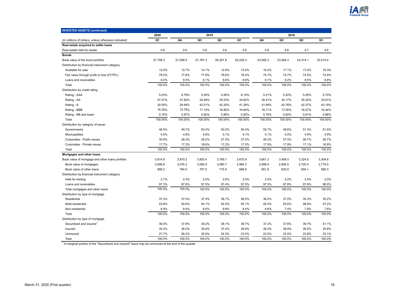

| <b>INVESTED ASSETS (continued)</b><br>2019<br>2020   |          |          |          |                |          |          |                |                |          |
|------------------------------------------------------|----------|----------|----------|----------------|----------|----------|----------------|----------------|----------|
|                                                      |          |          |          |                |          |          | 2018           |                |          |
| (In millions of dollars, unless otherwise indicated) | Q1       | Q4       | Q3       | Q <sub>2</sub> | Q1       | Q4       | Q <sub>3</sub> | Q <sub>2</sub> | Q1       |
| Real estate acquired to settle loans                 |          |          |          |                |          |          |                |                |          |
| Real estate held for resale                          | 0.6      | 0.6      | 0.6      | 0.6            | 0.6      | 0.6      | 4.6            | 4.7            | 4.6      |
| <b>Bonds</b>                                         |          |          |          |                |          |          |                |                |          |
| Book value of the bond portfolio                     | 27.708.3 | 27,508.5 | 27,767.3 | 26,291.8       | 25,229.3 | 23,592.3 | 23,064.3       | 24,314.1       | 23.514.4 |
| Distribution by financial instrument category        |          |          |          |                |          |          |                |                |          |
| Available for sale                                   | 12.0%    | 13.7%    | 14.1%    | 12.8%          | 15.0%    | 16.2%    | 17.1%          | 17.0%          | 16.3%    |
| Fair value through profit or loss (FVTPL)            | 79.0%    | 77.8%    | 77.8%    | 78.6%          | 76.4%    | 74.7%    | 73.7%          | 74.5%          | 74.9%    |
| Loans and receivables                                | 9.0%     | 8.5%     | 8.1%     | 8.6%           | 8.6%     | 9.1%     | 9.2%           | 8.5%           | 8.8%     |
| Total                                                | 100.0%   | 100.0%   | 100.0%   | 100.0%         | 100.0%   | 100.0%   | 100.0%         | 100.0%         | 100.0%   |
| Distribution by credit rating                        |          |          |          |                |          |          |                |                |          |
| Rating - AAA                                         | 5.03%    | 6.78%    | 5.54%    | 4.56%          | 6.14%    | 5.21%    | 5.20%          | 5.05%          | 5.70%    |
| Rating - AA                                          | 47.47%   | 47.62%   | 34.48%   | 35.53%         | 34.82%   | 35.41%   | 34.17%         | 35.20%         | 33.81%   |
| Rating - A                                           | 30.55%   | 28.94%   | 42.01%   | 42.25%         | 41.28%   | 41.89%   | 42.76%         | 42.37%         | 43.19%   |
| Rating - BBB                                         | 16.20%   | 15.79%   | 17.15%   | 16.80%         | 16.84%   | 16.71%   | 17.05%         | 16.57%         | 16.44%   |
| Rating - BB and lower                                | 0.75%    | 0.87%    | 0.82%    | 0.86%          | 0.92%    | 0.78%    | 0.82%          | 0.81%          | 0.86%    |
| Total                                                | 100.00%  | 100.00%  | 100.00%  | 100.00%        | 100.00%  | 100.00%  | 100.00%        | 100.00%        | 100.00%  |
| Distribution by category of issuer                   |          |          |          |                |          |          |                |                |          |
| Governments                                          | 46.5%    | 49.7%    | 50.4%    | 50.2%          | 50.4%    | 50.7%    | 49.6%          | 51.3%          | 51.5%    |
| Municipalities                                       | 5.0%     | 4.8%     | 4.8%     | 5.1%           | 5.1%     | 5.1%     | 5.0%           | 4.9%           | 4.9%     |
| Corporates - Public issues                           | 30.8%    | 28.2%    | 28.2%    | 27.5%          | 27.0%    | 26.3%    | 27.5%          | 26.7%          | 26.7%    |
| Corporates - Private issues                          | 17.7%    | 17.3%    | 16.6%    | 17.2%          | 17.5%    | 17.9%    | 17.9%          | 17.1%          | 16.9%    |
| Total                                                | 100.0%   | 100.0%   | 100.0%   | 100.0%         | 100.0%   | 100.0%   | 100.0%         | 100.0%         | 100.0%   |
| Mortgages and other loans                            |          |          |          |                |          |          |                |                |          |
| Book value of mortgage and other loans portfolio     | 3,814.8  | 3,870.2  | 3,853.4  | 3,795.7        | 3,670.9  | 3,661.3  | 3,456.5        | 3,324.5        | 3,304.8  |
| Book value of mortgages                              | 3,006.6  | 3,076.2  | 3,085.9  | 3,080.7        | 2,984.3  | 2,999.4  | 2,826.5        | 2,720.4        | 2,719.5  |
| Book value of other loans                            | 808.2    | 794.0    | 767.5    | 715.0          | 686.6    | 661.9    | 630.0          | 604.1          | 585.3    |
| Distribution by financial instrument category        |          |          |          |                |          |          |                |                |          |
| Held for trading                                     | 2.7%     | 2.4%     | 2.5%     | 2.6%           | 2.5%     | 2.5%     | 2.2%           | 2.4%           | 2.0%     |
| Loans and receivables                                | 97.3%    | 97.6%    | 97.5%    | 97.4%          | 97.5%    | 97.5%    | 97.8%          | 97.6%          | 98.0%    |
| Total mortgages and other loans                      | 100.0%   | 100.0%   | 100.0%   | 100.0%         | 100.0%   | 100.0%   | 100.0%         | 100.0%         | 100.0%   |
| Distribution by type of mortgage                     |          |          |          |                |          |          |                |                |          |
| Residential                                          | 37.3%    | 37.0%    | 37.4%    | 36.7%          | 36.5%    | 36.0%    | 37.0%          | 35.3%          | 35.2%    |
| Multi-residential                                    | 53.8%    | 54.6%    | 54.1%    | 54.5%          | 55.1%    | 55.4%    | 55.6%          | 56.8%          | 57.2%    |
| Non-residential                                      | 8.9%     | 8.4%     | 8.5%     | 8.8%           | 8.4%     | 8.6%     | 7.4%           | 7.9%           | 7.6%     |
| Total                                                | 100.0%   | 100.0%   | 100.0%   | 100.0%         | 100.0%   | 100.0%   | 100.0%         | 100.0%         | 100.0%   |
| Distribution by type of mortgage                     |          |          |          |                |          |          |                |                |          |
| Securitized and insured                              | 38.0%    | 37.8%    | 39.2%    | 38.1%          | 39.7%    | 37.2%    | 37.6%          | 39.7%          | 41.1%    |
| Insured                                              | 34.3%    | 36.0%    | 35.8%    | 37.4%          | 36.9%    | 39.3%    | 38.9%          | 36.5%          | 35.8%    |
| Uninsured                                            | 27.7%    | 26.2%    | 25.0%    | 24.5%          | 23.4%    | 23.5%    | 23.5%          | 23.8%          | 23.1%    |
| Total                                                | 100.0%   | 100.0%   | 100.0%   | 100.0%         | 100.0%   | 100.0%   | 100.0%         | 100.0%         | 100.0%   |

<sup>1</sup> A marginal portion of the "Securitized and insured" loans may be uninsured at the end of the quarter.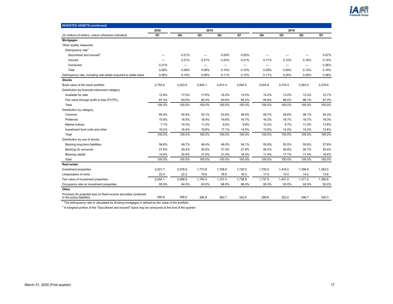

| <b>INVESTED ASSETS (continued)</b>                                                             |         |                          |                |                          |         |                          |         |                |         |
|------------------------------------------------------------------------------------------------|---------|--------------------------|----------------|--------------------------|---------|--------------------------|---------|----------------|---------|
|                                                                                                | 2020    |                          | 2019           |                          |         |                          | 2018    |                |         |
| (In millions of dollars, unless otherwise indicated)                                           | Q1      | Q4                       | Q <sub>3</sub> | Q <sub>2</sub>           | Q1      | Q4                       | Q3      | Q <sub>2</sub> | Q1      |
| <b>Mortgages</b>                                                                               |         |                          |                |                          |         |                          |         |                |         |
| Other quality measures                                                                         |         |                          |                |                          |         |                          |         |                |         |
| Delinquency rate <sup>1</sup>                                                                  |         |                          |                |                          |         |                          |         |                |         |
| Securitized and insured <sup>2</sup>                                                           |         | 0.01%                    | -              | 0.05%                    | 0.05%   |                          |         |                | 0.07%   |
| Insured                                                                                        |         | 0.21%                    | 0.21%          | 0.20%                    | 0.21%   | 0.11%                    | 0.12%   | 0.16%          | 0.14%   |
| Uninsured                                                                                      | 0.21%   | $\overline{\phantom{0}}$ | -              | $\overline{\phantom{0}}$ |         | $\overline{\phantom{0}}$ | -       |                | 0.36%   |
| Total                                                                                          | 0.06%   | 0.08%                    | 0.08%          | 0.10%                    | 0.10%   | 0.09%                    | 0.09%   | 0.12%          | 0.19%   |
| Delinquency rate, including real estate acquired to settle loans                               | 0.08%   | 0.10%                    | 0.09%          | 0.11%                    | 0.12%   | 0.11%                    | 0.25%   | 0.29%          | 0.36%   |
| <b>Stocks</b>                                                                                  |         |                          |                |                          |         |                          |         |                |         |
| Book value of the stock portfolio                                                              | 2,752.0 | 3,023.5                  | 2,920.1        | 2,810.3                  | 3,094.5 | 3,054.8                  | 3,319.3 | 3,363.0        | 3,378.9 |
| Distribution by financial instrument category                                                  |         |                          |                |                          |         |                          |         |                |         |
| Available for sale                                                                             | 12.6%   | 17.0%                    | 17.6%          | 16.4%                    | 14.5%   | 14.2%                    | 13.5%   | 13.3%          | 12.7%   |
| Fair value through profit or loss (FVTPL)                                                      | 87.4%   | 83.0%                    | 82.4%          | 83.6%                    | 85.5%   | 85.8%                    | 86.5%   | 86.7%          | 87.3%   |
| Total                                                                                          | 100.0%  | 100.0%                   | 100.0%         | 100.0%                   | 100.0%  | 100.0%                   | 100.0%  | 100.0%         | 100.0%  |
| Distribution by category                                                                       |         |                          |                |                          |         |                          |         |                |         |
| Common                                                                                         | 60.8%   | 54.8%                    | 53.1%          | 53.6%                    | 58.9%   | 59.7%                    | 58.6%   | 56.1%          | 54.3%   |
| Preferred                                                                                      | 15.9%   | 18.5%                    | 18.9%          | 19.8%                    | 16.7%   | 16.3%                    | 18.7%   | 18.7%          | 18.3%   |
| Market indices                                                                                 | 7.1%    | 10.3%                    | 11.2%          | 9.5%                     | 9.9%    | 10.2%                    | 8.7%    | 11.0%          | 13.8%   |
| Investment fund units and other                                                                | 16.2%   | 16.4%                    | 16.8%          | 17.1%                    | 14.5%   | 13.8%                    | 14.0%   | 14.2%          | 13.6%   |
| Total                                                                                          | 100.0%  | 100.0%                   | 100.0%         | 100.0%                   | 100.0%  | 100.0%                   | 100.0%  | 100.0%         | 100.0%  |
| Distribution by use of stocks                                                                  |         |                          |                |                          |         |                          |         |                |         |
| Backing long-term liabilities                                                                  | 56.6%   | 49.7%                    | 48.4%          | 48.0%                    | 54.1%   | 55.9%                    | 55.5%   | 55.9%          | 57.8%   |
| Backing UL accounts                                                                            | 27.6%   | 29.4%                    | 30.0%          | 31.0%                    | 27.9%   | 26.2%                    | 26.8%   | 26.7%          | 25.4%   |
| Backing capital                                                                                | 15.8%   | 20.9%                    | 21.6%          | 21.0%                    | 18.0%   | 17.9%                    | 17.7%   | 17.4%          | 16.8%   |
| Total                                                                                          | 100.0%  | 100.0%                   | 100.0%         | 100.0%                   | 100.0%  | 100.0%                   | 100.0%  | 100.0%         | 100.0%  |
| <b>Real estate</b>                                                                             |         |                          |                |                          |         |                          |         |                |         |
| Investment properties                                                                          | 2,021.7 | 2,076.6                  | 1,773.8        | 1,728.8                  | 1,720.5 | 1,720.5                  | 1,416.0 | 1,356.8        | 1,343.0 |
| Linearization of rents                                                                         | 22.4    | 22.2                     | 19.6           | 18.6                     | 18.3    | 17.4                     | 15.0    | 14.2           | 13.8    |
| Fair value of investment properties                                                            | 2,044.1 | 2,098.8                  | 1,793.4        | 1,747.4                  | 1,738.8 | 1,737.9                  | 1,431.0 | 1,371.0        | 1,356.8 |
| Occupancy rate on investment properties                                                        | 95.0%   | 94.0%                    | 93.0%          | 96.0%                    | 96.0%   | 95.0%                    | 93.0%   | 92.0%          | 92.0%   |
| Other                                                                                          |         |                          |                |                          |         |                          |         |                |         |
| Provision for potential loss on fixed-income securities contained<br>in the policy liabilities | 450.9   | 408.0                    | 394.6          | 363.7                    | 332.5   | 289.6                    | 323.0   | 346.7          | 335.3   |

<sup>1</sup> The delinquency rate is calculated by dividing mortgages in default by the value of the portfolio.

 $2$  A marginal portion of the "Securitized and insured" loans may be uninsured at the end of the quarter.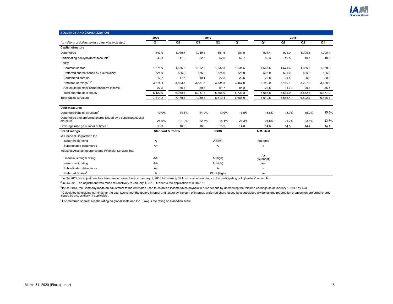

<span id="page-17-0"></span>

| <b>SOLVENCY AND CAPITALIZATION</b>                                                       |                              |         |                |              |                |                    |                |         |                |
|------------------------------------------------------------------------------------------|------------------------------|---------|----------------|--------------|----------------|--------------------|----------------|---------|----------------|
|                                                                                          | 2020                         |         | 2019           |              |                |                    | 2018           |         |                |
| (In millions of dollars, unless otherwise indicated)                                     | Q1                           | Q4      | Q <sub>3</sub> | Q2           | Q <sub>1</sub> | Q4                 | Q <sub>3</sub> | Q2      | Q <sub>1</sub> |
| <b>Capital structure</b>                                                                 |                              |         |                |              |                |                    |                |         |                |
| <b>Debentures</b>                                                                        | 1,447.9                      | 1,049.7 | 1,049.5        | 651.5        | 901.5          | 901.4              | 901.0          | 1,000.8 | 1,000.4        |
| Participating policyholders' accounts <sup>1</sup>                                       | 43.3                         | 41.9    | 52.6           | 52.6         | 52.7           | 52.3               | 49.5           | 49.1    | 48.5           |
| Equity                                                                                   |                              |         |                |              |                |                    |                |         |                |
| Common shares                                                                            | 1.671.9                      | 1,666.5 | 1,652.3        | 1,632.3      | 1,634.5        | 1.655.5            | 1.671.6        | 1,669.9 | 1,668.0        |
| Preferred shares issued by a subsidiary                                                  | 525.0                        | 525.0   | 525.0          | 525.0        | 525.0          | 525.0              | 525.0          | 525.0   | 525.0          |
| Contributed surplus                                                                      | 17.2                         | 17.5    | 19.1           | 22.5         | 22.5           | 22.8               | 21.5           | 20.9    | 20.2           |
| Retained earnings <sup>1,2,3</sup>                                                       | 3,878.4                      | 3,823.5 | 3,651.5        | 3,534.5      | 3,467.0        | 3,440.0            | 3,419.1        | 3,297.9 | 3,128.0        |
| Accumulated other comprehensive income                                                   | 27.5                         | 55.6    | 89.5           | 91.7         | 84.8           | 22.5               | (1.3)          | 29.1    | 36.7           |
| Total shareholders' equity                                                               | 6,120.0                      | 6,088.1 | 5,937.4        | 5,806.0      | 5,733.8        | 5,665.8            | 5,635.9        | 5,542.8 | 5,377.9        |
| Total capital structure                                                                  | 7,611.2                      | 7,179.7 | 7,039.5        | 6,510.1      | 6,688.0        | 6,619.5            | 6,586.4        | 6,592.7 | 6,426.8        |
| <b>Debt measures</b>                                                                     |                              |         |                |              |                |                    |                |         |                |
| Debentures/capital structure <sup>3</sup>                                                | 19.0%                        | 14.6%   | 14.9%          | 10.0%        | 13.5%          | 13.6%              | 13.7%          | 15.2%   | 15.6%          |
| Debentures and preferred shares issued by a subsidiary/capital<br>structure <sup>2</sup> | 25.9%                        | 21.9%   | 22.4%          | 18.1%        | 21.3%          | 21.5%              | 21.7%          | 23.1%   | 23.7%          |
| Coverage ratio (in number of times) <sup>4</sup>                                         | 13.3                         | 16.6    | 16.8           | 15.9         | 14.8           | 14.6               | 14.5           | 14.4    | 14.1           |
| <b>Credit ratings</b>                                                                    | <b>Standard &amp; Poor's</b> |         |                | <b>DBRS</b>  |                | A.M. Best          |                |         |                |
| iA Financial Corporation Inc.                                                            |                              |         |                |              |                |                    |                |         |                |
| Issuer credit rating                                                                     | Α                            |         |                | A (low)      |                | not rated          |                |         |                |
| Subordinated debentures                                                                  | $A+$                         |         |                | Α            |                | a                  |                |         |                |
| Industrial Alliance Insurance and Financial Services Inc.                                |                              |         |                |              |                |                    |                |         |                |
| Financial strength rating                                                                | AA-                          |         |                | A (high)     |                | $A+$<br>(Superior) |                |         |                |
| Issuer credit rating                                                                     | AA-                          |         |                | A (high)     |                | aa-                |                |         |                |
| Subordinated debentures                                                                  | $A+$                         |         |                | A            |                | a                  |                |         |                |
| Preferred Shares <sup>5</sup>                                                            | Α                            |         |                | Pfd-2 (high) |                | a-                 |                |         |                |

<sup>1</sup> In Q4 2019, an adjustment has been made retroactively to January 1, 2018 transferring \$7 from retained earnings to the participating policyholders' accounts.

<sup>2</sup> In Q3-2018, an adjustment was made retroactively to January 1, 2018, further to the application of IFRS-15.

<sup>3</sup> In Q4-2018, the Company made an adjustment to the estimates used to establish income taxes payable in prior periods by decreasing the retained earnings as at January 1, 2017 by \$58.

<sup>4</sup> Calculated by dividing earnings for the past twelve months (before interest and taxes) by the sum of interest, preferred share issued by a subsidiary dividends and redemption premium on preferred shares<br>issued by a sub

 $5$ For preferred shares: A is the rating on global scale and P-1 (Low) is the rating on Canadian scale.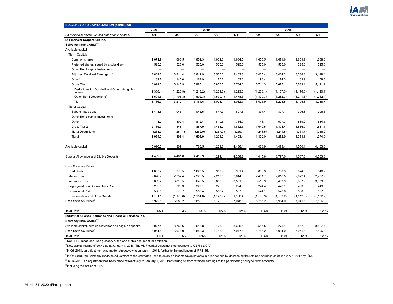

| <b>SOLVENCY AND CAPITALIZATION (continued)</b>             |            |            |                |                |            |            |            |                |            |
|------------------------------------------------------------|------------|------------|----------------|----------------|------------|------------|------------|----------------|------------|
|                                                            | 2020       |            | 2019           |                |            |            | 2018       |                |            |
| (In millions of dollars, unless otherwise indicated)       | Q1         | Q4         | Q <sub>3</sub> | Q <sub>2</sub> | Q1         | Q4         | Q3         | Q <sub>2</sub> | Q1         |
| iA Financial Corporation Inc.                              |            |            |                |                |            |            |            |                |            |
| Solvency ratio CARLI <sup>1,2</sup>                        |            |            |                |                |            |            |            |                |            |
| Available capital                                          |            |            |                |                |            |            |            |                |            |
| Tier 1 Capital:                                            |            |            |                |                |            |            |            |                |            |
| Common shares                                              | 1,671.9    | 1,666.5    | 1,652.3        | 1,632.3        | 1,634.5    | 1,655.5    | 1,671.6    | 1,669.9        | 1,668.0    |
| Preferred shares issued by a subsidiary                    | 525.0      | 525.0      | 525.0          | 525.0          | 525.0      | 525.0      | 525.0      | 525.0          | 525.0      |
| Other Tier 1 capital instruments                           |            | -          |                |                |            |            |            |                |            |
| Adjusted Retained Earnings <sup>3,4,5</sup>                | 3,869.6    | 3,814.4    | 3,642.9        | 3,530.0        | 3,462.8    | 3,435.4    | 3,404.2    | 3,284.3        | 3,119.4    |
| Other <sup>5</sup>                                         | 32.7       | 140.0      | 164.9          | 170.2          | 162.3      | 98.4       | 74.3       | 103.9          | 108.8      |
| Gross Tier 1                                               | 6,099.2    | 6,145.9    | 5,985.1        | 5,857.5        | 5,784.6    | 5,714.3    | 5,675.1    | 5,583.1        | 5,421.2    |
| Deductions for Goodwill and Other intangibles<br>assets    | (1,368.4)  | (1,226.9)  | (1,218.2)      | (1, 239.3)     | (1,223.6)  | (1,208.1)  | (1, 167.3) | (1, 176.0)     | (1, 120.1) |
| Other Tier 1 Deductions <sup>3</sup>                       | (1,594.5)  | (1,706.3)  | (1,602.3)      | (1,590.1)      | (1, 478.3) | (1,429.3)  | (1, 282.3) | (1, 211.3)     | (1,212.4)  |
| Tier 1                                                     | 3,136.3    | 3,212.7    | 3,164.6        | 3,028.1        | 3,082.7    | 3,076.9    | 3,225.5    | 3,195.8        | 3,088.7    |
| Tier 2 Capital                                             |            |            |                |                |            |            |            |                |            |
| Subordinated debt                                          | 1,443.6    | 1,045.7    | 1,045.5        | 647.7          | 897.6      | 897.4      | 897.1      | 996.8          | 996.6      |
| Other Tier 2 capital instruments                           |            |            |                |                |            |            |            |                |            |
| Other                                                      | 741.7      | 802.4      | 812.4          | 810.5          | 764.9      | 743.1      | 597.3      | 589.2          | 634.5      |
| Gross Tier 2                                               | 2,185.3    | 1,848.1    | 1,857.9        | 1,458.2        | 1,662.5    | 1,640.5    | 1,494.4    | 1,586.0        | 1,631.1    |
| Tier 2 Deductions                                          | (231.3)    | (251.7)    | (262.0)        | (257.0)        | (259.1)    | (248.5)    | (241.5)    | (231.7)        | (256.2)    |
| Tier <sub>2</sub>                                          | 1,954.0    | 1,596.4    | 1,595.9        | 1,201.2        | 1,403.4    | 1,392.0    | 1,252.9    | 1,354.3        | 1,374.9    |
| Available capital                                          | 5,090.3    | 4,809.1    | 4,760.5        | 4,229.3        | 4,486.1    | 4,468.9    | 4,478.4    | 4,550.1        | 4,463.6    |
| Surplus Allowance and Eligible Deposits                    | 4,432.9    | 4,461.8    | 4,419.9        | 4,294.1        | 4,268.2    | 4,045.6    | 3,797.0    | 4,007.8        | 4,063.8    |
| <b>Base Solvency Buffer</b>                                |            |            |                |                |            |            |            |                |            |
| <b>Credit Risk</b>                                         | 1,067.2    | 973.5      | 1,027.5        | 953.9          | 901.4      | 800.3      | 760.3      | 824.3          | 846.7      |
| <b>Market Risk</b>                                         | 2,078.7    | 2,232.4    | 2,223.5        | 2,210.5        | 2,614.3    | 2,481.7    | 2,616.5    | 2,622.4        | 2,707.9    |
| <b>Insurance Risk</b>                                      | 3,863.2    | 3,813.5    | 3,648.5        | 3,608.0        | 3,561.6    | 3,518.9    | 3,403.9    | 3,387.9        | 3,339.6    |
| Segregated Fund Guarantees Risk                            | 255.6      | 228.3      | 227.1          | 225.3          | 224.3      | 224.4      | 426.1      | 453.6          | 449.6      |
| <b>Operational Risk</b>                                    | 556.5      | 573.7      | 557.4          | 550.2          | 567.3      | 544.1      | 528.8      | 530.6          | 527.3      |
| Diversification and Other Credits                          | (1, 181.1) | (1, 173.6) | (1, 151.0)     | (1, 147.9)     | (1, 156.4) | (1, 135.9) | (1, 103.2) | (1, 112.5)     | (1, 102.7) |
| Base Solvency Buffer <sup>6</sup>                          | 6,972.1    | 6,980.2    | 6,859.7        | 6,720.0        | 7,048.1    | 6,755.2    | 6,964.0    | 7,041.6        | 7,106.8    |
| Total Ratio <sup>6</sup>                                   | 137%       | 133%       | 134%           | 127%           | 124%       | 126%       | 119%       | 122%           | 120%       |
| Industrial Alliance Insurance and Financial Services Inc.  |            |            |                |                |            |            |            |                |            |
| Solvency ratio CARLI <sup>1,2</sup>                        |            |            |                |                |            |            |            |                |            |
| Available capital, surplus allowance and eligible deposits | 8,077.4    | 8,766.6    | 8,613.8        | 8,425.9        | 8,695.5    | 8,514.5    | 8,275.4    | 8,557.9        | 8,527.4    |
| Base Solvency Buffer <sup>6</sup>                          | 6,941.5    | 6,971.9    | 6,858.3        | 6,718.8        | 7,047.5    | 6,755.2    | 6,964.0    | 7,041.6        | 7,106.8    |
| Total Ratio <sup>6</sup>                                   | 116%       | 126%       | 126%           | 125%           | 123%       | 126%       | 119%       | 122%           | 120%       |

<sup>2</sup> New capital regime effective as at January 1, 2018. The AMF capital guideline is comparable to OSFI's LICAT.

 $3$  In Q3-2018, an adjustment was made retroactively to January 1, 2018, further to the application of IFRS-15.

<sup>4</sup> In Q4-2018, the Company made an adjustment to the estimates used to establish income taxes payable in prior periods by decreasing the retained earnings as at January 1, 2017 by \$58.

<sup>5</sup> In Q4-2019, an adjustment has been made retroactively to January 1, 2018 transferring \$7 from retained earnings to the participating policyholders' accounts.

 $6$  Including the scalar of 1.05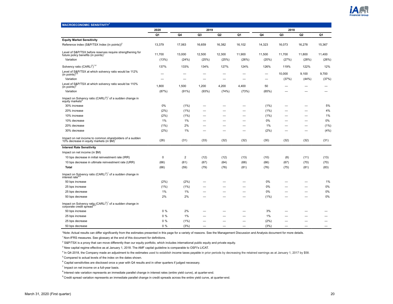

<span id="page-19-0"></span>

| <b>MACROECONOMIC SENSITIVITY<sup>1</sup></b>                                                                     |             |                  |        |                |        |         |        |        |        |
|------------------------------------------------------------------------------------------------------------------|-------------|------------------|--------|----------------|--------|---------|--------|--------|--------|
|                                                                                                                  | 2020        |                  | 2019   |                |        |         | 2018   |        |        |
|                                                                                                                  | Q1          | Q4               | Q3     | Q <sub>2</sub> | Q1     | Q4      | Q3     | Q2     | Q1     |
| <b>Equity Market Sensitivity</b>                                                                                 |             |                  |        |                |        |         |        |        |        |
| Reference index (S&P/TSX Index (in points)) <sup>2</sup>                                                         | 13,379      | 17,063           | 16,659 | 16,382         | 16,102 | 14,323  | 16,073 | 16,278 | 15,367 |
| Level of S&P/TSX before reserves require strengthening for<br>future policy benefits (in points) <sup>1</sup>    | 11,700      | 13,000           | 12,500 | 12,300         | 11,900 | 11,500  | 11,700 | 11,800 | 11,400 |
| Variation                                                                                                        | (13%)       | (24%)            | (25%)  | (25%)          | (26%)  | (20%)   | (27%)  | (28%)  | (26%)  |
| Solvency ratio (CARLI <sup>3</sup> ) <sup>1,4</sup>                                                              | 137%        | 133%             | 134%   | 127%           | 124%   | 126%    | 119%   | 122%   | 12%    |
| Level of S&P/TSX at which solvency ratio would be 112%<br>(in points) $4,5$                                      |             |                  |        |                |        | -       | 10,000 | 9,100  | 9,700  |
| Variation                                                                                                        | -           |                  |        | -              |        | -       | (37%)  | (44%)  | (37%)  |
| Level of S&P/TSX at which solvency ratio would be 110%<br>(in points) $\overline{S}$                             | 1,800       | 1,500            | 1,200  | 4,200          | 4,400  | 50      |        |        |        |
| Variation                                                                                                        | (87%)       | (91%)            | (93%)  | (74%)          | (73%)  | (65%)   |        |        |        |
| Impact on Solvency ratio (CARLI <sup>3</sup> ) <sup>1</sup> of a sudden change in<br>equity markets <sup>6</sup> |             |                  |        |                |        |         |        |        |        |
| 30% increase                                                                                                     | 0%          | (1%)             |        |                |        | (1%)    |        |        | 5%     |
| 20% increase                                                                                                     | (2%)        | (1%)             |        |                |        | (1%)    |        |        | 4%     |
| 10% increase                                                                                                     | (2%)        | (1%)             |        |                |        | $(1\%)$ |        |        | $1\%$  |
| 10% decrease                                                                                                     | $1\%$       | 1%               |        |                |        | 0%      |        |        | 0%     |
| 20% decrease                                                                                                     | (1%)        | 2%               |        | -              |        | 1%      |        | -      | (1%)   |
| 30% decrease                                                                                                     | (2%)        | 1%               |        |                |        | (2%)    |        |        | (4% )  |
| Impact on net income to common shareholders of a sudden<br>10% decrease in equity markets (in \$M)'              | (26)        | (31)             | (33)   | (32)           | (32)   | (30)    | (32)   | (32)   | (31)   |
| <b>Interest Rate Sensitivity</b>                                                                                 |             |                  |        |                |        |         |        |        |        |
| Impact on net income (in \$M)                                                                                    |             |                  |        |                |        |         |        |        |        |
| 10 bps decrease in initial reinvestment rate (IRR)                                                               | $\mathbf 0$ | $\boldsymbol{2}$ | (12)   | (12)           | (13)   | (10)    | (8)    | (11)   | (13)   |
| 10 bps decrease in ultimate reinvestment rate (URR)                                                              | (66)        | (61)             | (67)   | (64)           | (68)   | (66)    | (67)   | (70)   | (70)   |
| Total                                                                                                            | (66)        | (59)             | (79)   | (76)           | (81)   | (76)    | (75)   | (81)   | (83)   |
| Impact on Solvency ratio $(CARLI3)1$ of a sudden change in<br>interest rate <sup>6,8</sup>                       |             |                  |        |                |        |         |        |        |        |
| 50 bps increase                                                                                                  | (2%)        | (2%)             |        |                |        | 0%      |        |        | 1%     |
| 25 bps increase                                                                                                  | (1%)        | (1%)             |        | -              |        | 0%      |        | -      | 0%     |
| 25 bps decrease                                                                                                  | $1\%$       | 1%               |        |                |        | 0%      |        |        | 0%     |
| 50 bps decrease                                                                                                  | 2%          | 2%               |        |                |        | (1%)    |        |        | 0%     |
| Impact on Solvency ratio (CARLI <sup>3</sup> ) <sup>1</sup> of a sudden change in<br>corporate credit spread     |             |                  |        |                |        |         |        |        |        |
| 50 bps increase                                                                                                  | $0\%$       | 2%               |        |                |        | 3%      |        |        |        |
| 25 bps increase                                                                                                  | $0\%$       | 1%               |        |                |        | 1%      |        |        |        |
| 25 bps decrease                                                                                                  | 0%          | (1%)             |        |                |        | (2%)    |        |        |        |
| 50 bps decrease                                                                                                  | 0%          | (3%)             |        |                |        | (3%)    |        |        |        |

\*Note: Actual results can differ significantly from the estimates presented in this page for a variety of reasons. See the Management Discussion and Analysis document for more details.

 $1$ Non-IFRS measures. See glossary at the end of this document for definitions.

<sup>2</sup> S&P/TSX is a proxy that can move differently than our equity portfolio, which includes international public equity and private equity.

 $3$  New capital regime effective as at January 1, 2018. The AMF capital guideline is comparable to OSFI's LICAT.

<sup>4</sup> In Q4-2018, the Company made an adjustment to the estimates used to establish income taxes payable in prior periods by decreasing the retained earnings as at January 1, 2017 by \$58.

<sup>5</sup> Compared to actual levels of the index on the dates shown.

 $^6$  Capital sensitivities are disclosed once a year with Q4 results and in other quarters if judged necessary.

 $7$  Impact on net income on a full-year basis.

<sup>8</sup> Interest rate variation represents an immediate parallel change in interest rates (entire yield curve), at quarter-end.

<sup>9</sup> Credit spread variation represents an immediate parallel change in credit spreads across the entire yield curve, at quarter-end.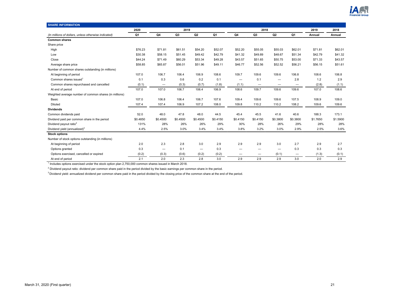

<span id="page-20-0"></span>

| <b>SHARE INFORMATION</b>                               |          |                          |          |                   |          |                          |                          |                          |                 |          |          |
|--------------------------------------------------------|----------|--------------------------|----------|-------------------|----------|--------------------------|--------------------------|--------------------------|-----------------|----------|----------|
|                                                        | 2020     |                          | 2019     |                   |          |                          | 2018                     |                          |                 | 2019     | 2018     |
| (In millions of dollars, unless otherwise indicated)   | Q1       | Q4                       | Q3       | Q <sub>2</sub>    | Q1       | Q4                       | Q3                       | Q2                       | Q1              | Annual   | Annual   |
| <b>Common shares</b>                                   |          |                          |          |                   |          |                          |                          |                          |                 |          |          |
| Share price                                            |          |                          |          |                   |          |                          |                          |                          |                 |          |          |
| High                                                   | \$76.23  | \$71.81                  | \$61.51  | \$54.20           | \$52.07  | \$52.20                  | \$55.05                  | \$55.03                  | \$62.01         | \$71.81  | \$62.01  |
| Low                                                    | \$30.38  | \$58.15                  | \$51.45  | \$49.42           | \$42.79  | \$41.32                  | \$49.89                  | \$48.67                  | \$51.34         | \$42.79  | \$41.32  |
| Close                                                  | \$44.24  | \$71.49                  | \$60.29  | \$53.34           | \$49.28  | \$43.57                  | \$51.65                  | \$50.75                  | \$53.00         | \$71.33  | \$43.57  |
| Average share price                                    | \$58.85  | \$65.87                  | \$56.01  | \$51.96           | \$49.11  | \$46.77                  | \$52.56                  | \$52.52                  | \$56.21         | \$56.15  | \$51.61  |
| Number of common shares outstanding (in millions)      |          |                          |          |                   |          |                          |                          |                          |                 |          |          |
| At beginning of period                                 | 107.0    | 106.7                    | 106.4    | 106.9             | 108.6    | 109.7                    | 109.6                    | 109.6                    | 106.8           | 108.6    | 106.8    |
| Common shares issued                                   | 0.1      | 0.3                      | 0.6      | 0.2               | 0.1      | $\overline{\phantom{0}}$ | 0.1                      | $\overline{\phantom{0}}$ | 2.8             | 1.2      | 2.9      |
| Common shares repurchased and cancelled                | (0.1)    | $\overline{\phantom{0}}$ | (0.3)    | (0.7)             | (1.8)    | (1.1)                    | $\overline{\phantom{m}}$ | $\overline{\phantom{0}}$ | -               | (2.8)    | (1.1)    |
| At end of period                                       | 107.0    | 107.0                    | 106.7    | 106.4             | 106.9    | 108.6                    | 109.7                    | 109.6                    | 109.6           | 107.0    | 108.6    |
| Weighted average number of common shares (in millions) |          |                          |          |                   |          |                          |                          |                          |                 |          |          |
| Basic                                                  | 107.0    | 106.8                    | 106.4    | 106.7             | 107.6    | 109.4                    | 109.6                    | 109.6                    | 107.5           | 108.9    | 109.0    |
| Diluted                                                | 107.4    | 107.4                    | 106.9    | 107.2             | 108.0    | 109.8                    | 110.2                    | 110.2                    | 108.2           | 109.6    | 109.6    |
| <b>Dividends</b>                                       |          |                          |          |                   |          |                          |                          |                          |                 |          |          |
| Common dividends paid                                  | 52.0     | 48.0                     | 47.8     | 48.0              | 44.5     | 45.4                     | 45.5                     | 41.6                     | 40.6            | 188.3    | 173.1    |
| Dividend paid per common share in the period           | \$0.4850 | \$0.4500                 | \$0.4500 | \$0.4500          | \$0.4150 | \$0.4150                 | \$0.4150                 | \$0.3800                 | \$0.3800        | \$1.7650 | \$1.5900 |
| Dividend payout ratio <sup>2</sup>                     | 131%     | 28%                      | 26%      | 26%               | 29%      | 30%                      | 28%                      | 26%                      | 29%             | 28%      | 28%      |
| Dividend yield (annualized) <sup>3</sup>               | 4.4%     | 2.5%                     | 3.0%     | 3.4%              | 3.4%     | 3.8%                     | 3.2%                     | 3.0%                     | 2.9%            | 2.5%     | 3.6%     |
| <b>Stock options</b>                                   |          |                          |          |                   |          |                          |                          |                          |                 |          |          |
| Number of stock options outstanding (in millions)      |          |                          |          |                   |          |                          |                          |                          |                 |          |          |
| At beginning of period                                 | 2.0      | 2.3                      | 2.8      | 3.0               | 2.9      | 2.9                      | 2.9                      | 3.0                      | 2.7             | 2.9      | 2.7      |
| Options granted                                        | 0.3      | $\overline{\phantom{0}}$ | 0.1      | $\qquad \qquad -$ | 0.3      | —                        |                          | $\overline{\phantom{0}}$ | 0.3             | 0.3      | 0.3      |
| Options exercised, cancelled or expired                | (0.2)    | (0.3)                    | (0.6)    | (0.2)             | (0.2)    | —                        | —                        | (0.1)                    | $\qquad \qquad$ | (1.3)    | (0.1)    |
| At end of period                                       | 2.1      | 2.0                      | 2.3      | 2.8               | 3.0      | 2.9                      | 2.9                      | 2.9                      | 3.0             | 2.0      | 2.9      |

1 Includes options exercised under the stock option plan 2,750,000 common shares issued in March 2018.

 $<sup>2</sup>$  Dividend payout ratio: dividend per common share paid in the period divided by the basic earnings per common share in the period.</sup>

<sup>3</sup> Dividend yield: annualized dividend per common share paid in the period divided by the closing price of the common share at the end of the period.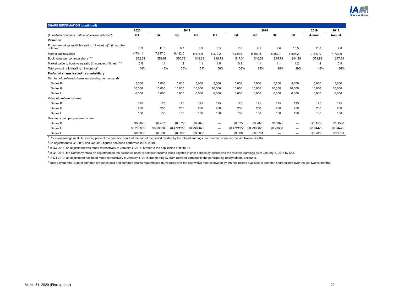

| <b>SHARE INFORMATION (continued)</b>                                                   |            |            |             |             |         |             |                |                          |                          |           |           |
|----------------------------------------------------------------------------------------|------------|------------|-------------|-------------|---------|-------------|----------------|--------------------------|--------------------------|-----------|-----------|
|                                                                                        | 2020       |            | 2019        |             |         |             | 2018           |                          |                          | 2019      | 2018      |
| (In millions of dollars, unless otherwise indicated)                                   | Q1         | Q4         | Q3          | Q2          | Q1      | Q4          | Q <sub>3</sub> | Q2                       | Q1                       | Annual    | Annual    |
| Valuation                                                                              |            |            |             |             |         |             |                |                          |                          |           |           |
| Price-to-earnings multiple (trailing 12 months) <sup>1,2</sup> (in number<br>of times) | 8.3        | 11.8       | 9.7         | 8.9         | 8.5     | 7.8         | 9.5            | 9.6                      | 10.5                     | 11.8      | 7.8       |
| Market capitalization                                                                  | 4,734.1    | 7,647.0    | 6,432.0     | 5,676.5     | 5,270.2 | 4,730.6     | 5,663.5        | 5,562.7                  | 5,807.2                  | 7,647.0   | 4,730.6   |
| Book value per common share <sup>3,4,5</sup>                                           | \$52.29    | \$51.99    | \$50.73     | \$49.63     | \$48.73 | \$47.34     | \$46.59        | \$45.78                  | \$44.28                  | \$51.99   | \$47.34   |
| Market value to book value ratio (in number of times) <sup>3,4,5</sup>                 | 0.8        | 1.4        | 1.2         | 1.1         | 1.0     | 0.9         | 1.1            | 1.1                      | 1.2                      | 1.4       | 0.9       |
| Total payout ratio (trailing 12 months) <sup>6</sup>                                   | 44%        | 48%        | 56%         | 55%         | 50%     | 36%         | 28%            | 28%                      | 29%                      | 48%       | 36%       |
| Preferred shares issued by a subsidiary                                                |            |            |             |             |         |             |                |                          |                          |           |           |
| Number of preferred shares outstanding (in thousands)                                  |            |            |             |             |         |             |                |                          |                          |           |           |
| Series B                                                                               | 5,000      | 5,000      | 5,000       | 5,000       | 5,000   | 5,000       | 5,000          | 5,000                    | 5,000                    | 5,000     | 5,000     |
| Series G                                                                               | 10,000     | 10,000     | 10.000      | 10,000      | 10,000  | 10.000      | 10,000         | 10,000                   | 10.000                   | 10,000    | 10,000    |
| Series                                                                                 | 6,000      | 6,000      | 6,000       | 6,000       | 6,000   | 6,000       | 6,000          | 6,000                    | 6,000                    | 6,000     | 6,000     |
| Value of preferred shares                                                              |            |            |             |             |         |             |                |                          |                          |           |           |
| Series B                                                                               | 125        | 125        | 125         | 125         | 125     | 125         | 125            | 125                      | 125                      | 125       | 125       |
| Series G                                                                               | 250        | 250        | 250         | 250         | 250     | 250         | 250            | 250                      | 250                      | 250       | 250       |
| Series                                                                                 | 150        | 150        | 150         | 150         | 150     | 150         | 150            | 150                      | 150                      | 150       | 150       |
| Dividends paid per preferred share                                                     |            |            |             |             |         |             |                |                          |                          |           |           |
| Series B                                                                               | \$0.2875   | \$0.2875   | \$0,5750    | \$0.2875    |         | \$0.5750    | \$0.2875       | \$0.2875                 | $\overline{\phantom{m}}$ | \$1,1500  | \$1,1500  |
| Series G                                                                               | \$0.236063 | \$0.236063 | \$0.4721250 | \$0.2360625 |         | \$0.4721250 | \$0.2360625    | \$0.23606                | $\overline{\phantom{m}}$ | \$0.94425 | \$0.94425 |
| Series I                                                                               | \$0.3000   | \$0.3000   | \$0.6000    | \$0.3000    |         | \$0.6000    | \$0.3781       | $\overline{\phantom{0}}$ | $\overline{\phantom{0}}$ | \$1.2000  | \$0.9781  |

<sup>1</sup> Price-to-earnings multiple: closing price of the common share at the end of the period divided by the diluted earnings per common share for the last twelve months.

 $2$  An adjustment to Q1 2019 and Q2 2019 figures has been performed in Q3 2019.

 $3$  In Q3-2018, an adjustment was made retroactively to January 1, 2018, further to the application of IFRS-15.

<sup>4</sup> In Q4-2018, the Company made an adjustment to the estimates used to establish income taxes payable in prior periods by decreasing the retained earnings as at January 1, 2017 by \$58.

<sup>5</sup> In Q4 2019, an adjustment has been made retroactively to January 1, 2018 transferring \$7 from retained earnings to the participating policyholders' accounts.

<sup>6</sup> Total payout ratio: sum of common dividends paid and common shares repurchased (buybacks) over the last twelve months divided by the net income available to common shareholders over the last twelve months.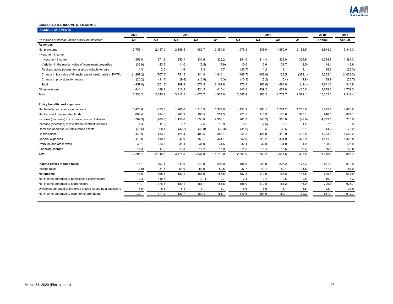

#### <span id="page-22-0"></span>**CONSOLIDATED INCOME STATEMENTS**

| <b>INCOME STATEMENTS</b>                                        |           |         |                          |         |         |         |                |                |         |          |           |
|-----------------------------------------------------------------|-----------|---------|--------------------------|---------|---------|---------|----------------|----------------|---------|----------|-----------|
|                                                                 | 2020      |         | 2019                     |         |         |         | 2018           |                |         | 2019     | 2018      |
| (In millions of dollars, unless otherwise indicated)            | Q1        | Q4      | Q3                       | Q2      | Q1      | Q4      | Q <sub>3</sub> | Q <sub>2</sub> | Q1      | Annual   | Annual    |
| <b>Revenues</b>                                                 |           |         |                          |         |         |         |                |                |         |          |           |
| Net premiums                                                    | 2,755.1   | 2,417.0 | 2,189.5                  | 1,982.7 | 2,354.8 | 1,976.8 | 1,836.0        | 1,850.0        | 2,186.5 | 8,944.0  | 7,849.3   |
| Investment income                                               |           |         |                          |         |         |         |                |                |         |          |           |
| Investment income                                               | 452.0     | 371.8   | 352.1                    | 331.6   | 329.2   | 391.0   | 314.4          | 329.0          | 326.9   | 1,384.7  | 1,361.3   |
| Variation in the market value of investment properties          | (32.9)    | 43.5    | 11.0                     | (2.5)   | (7.9)   | 10.0    | 3.6            | 31.7           | (2.5)   | 44.1     | 42.8      |
| Realized gains (losses) on assets available for sale            | 11.3      | 2.0     | 4.6                      | 8.3     | 4.7     | (33.7)  | 1.2            | 1.1            | 3.1     | 19.6     | (28.3)    |
| Change in fair value of financial assets designated at FVTPL    | (1,267.2) | (707.4) | 751.5                    | 1,344.9 | 1,844.1 | (186.7) | (608.0)        | 128.5          | (372.1) | 3,233.1  | (1,038.3) |
| Change in provisions for losses                                 | (20.2)    | (11.4)  | (9.4)                    | (10.8)  | (8.3)   | (10.3)  | (6.2)          | (5.4)          | (4.8)   | (39.9)   | (26.7)    |
| Total                                                           | (857.0)   | (301.5) | 1,109.8                  | 1,671.5 | 2,161.8 | 170.3   | (295.0)        | 484.9          | (49.4)  | 4,641.6  | 310.8     |
| Other revenues                                                  | 440.1     | 428.4   | 416.2                    | 424.5   | 410.4   | 440.3   | 439.2          | 437.8          | 435.0   | 1,679.5  | 1,752.3   |
| Total                                                           | 2,338.2   | 2,543.9 | 3,715.5                  | 4,078.7 | 4,927.0 | 2,587.4 | 1,980.2        | 2,772.7        | 2,572.1 | 15,265.1 | 9,912.4   |
| Policy benefits and expenses                                    |           |         |                          |         |         |         |                |                |         |          |           |
| Net benefits and claims on contracts                            | 1,478.8   | 1,433.3 | 1,265.0                  | 1,316.9 | 1,377.0 | 1,191.9 | 1,196.1        | 1,201.2        | 1,280.8 | 5,392.2  | 4,870.0   |
| Net transfer to segregated funds                                | 688.4     | 234.6   | 261.9                    | 195.5   | 224.5   | 221.5   | 113.9          | 170.6          | 315.1   | 916.5    | 821.1     |
| Increase (decrease) in insurance contract liabilities           | (702.3)   | (283.0) | 1,156.0                  | 1,550.0 | 2,350.1 | 261.3   | (346.2)        | 350.8          | (49.9)  | 4,773.1  | 216.0     |
| Increase (decrease) in investment contract liabilities          | 1.4       | (1.0)   | 6.7                      | 7.5     | 13.9    | 8.2     | (2.5)          | 2.1            | 1.4     | 27.1     | 9.2       |
| Decrease (increase) in reinsurance assets                       | (75.5)    | 68.1    | (32.2)                   | (40.8)  | (39.3)  | (31.9)  | 9.5            | 32.5           | 66.1    | (44.2)   | 76.2      |
| Commissions                                                     | 440.9     | 433.8   | 425.4                    | 409.5   | 385.1   | 341.5   | 421.0          | 410.9          | 408.8   | 1,653.8  | 1,582.2   |
| General expenses                                                | 412.0     | 410.7   | 347.0                    | 353.1   | 361.1   | 352.8   | 320.2          | 331.9          | 323.9   | 1,471.9  | 1,328.8   |
| Premium and other taxes                                         | 33.1      | 33.3    | 31.4                     | 31.9    | 31.6    | 32.1    | 32.8           | 31.0           | 31.0    | 128.2    | 126.9     |
| Financing charges                                               | 17.3      | 17.0    | 13.3                     | 14.2    | 15.0    | 14.5    | 15.4           | 16.5           | 16.6    | 59.5     | 63.0      |
| Total                                                           | 2,294.1   | 2,346.8 | 3,474.5                  | 3,837.8 | 4,719.0 | 2,391.9 | 1,760.2        | 2,547.5        | 2,393.8 | 14,378.1 | 9,093.4   |
| Income before income taxes                                      | 44.1      | 197.1   | 241.0                    | 240.9   | 208.0   | 195.5   | 220.0          | 225.2          | 178.3   | 887.0    | 819.0     |
| Income taxes                                                    | (1.9)     | 31.3    | 51.9                     | 53.9    | 50.5    | 37.7    | 49.1           | 59.4           | 34.8    | 187.6    | 181.0     |
| Net income                                                      | 46.0      | 165.8   | 189.1                    | 187.0   | 157.5   | 157.8   | 170.9          | 165.8          | 143.5   | 699.4    | 638.0     |
| Net income attributed to participating policyholders            | 1.3       | (10.7)  | $\overline{\phantom{m}}$ | (0.1)   | 0.7     | 2.8     | 0.4            | 0.6            | 0.5     | (10.1)   | 4.3       |
| Net income attributed to shareholders                           | 44.7      | 176.5   | 189.1                    | 187.1   | 156.8   | 155.0   | 170.5          | 165.2          | 143.0   | 709.5    | 633.7     |
| Dividends attributed to preferred shares issued by a subsidiary | 5.6       | 5.3     | 5.4                      | 5.7     | 5.7     | 5.5     | 5.6            | 6.1            | 3.8     | 22.1     | 21.0      |
| Net income attributed to common shareholders                    | 39.1      | 171.2   | 183.7                    | 181.4   | 151.1   | 149.5   | 164.9          | 159.1          | 139.2   | 687.4    | 612.7     |
|                                                                 |           |         |                          |         |         |         |                |                |         |          |           |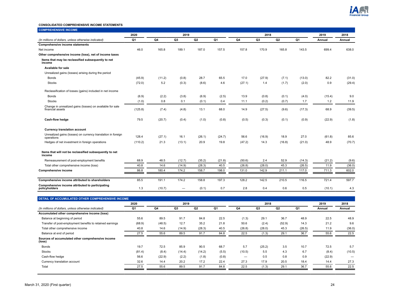

#### **CONSOLIDATED COMPREHENSIVE INCOME STATEMENTS**

| <b>COMPREHENSIVE INCOME</b>                                                   |         |        |                |        |        |        |                |        |        |        |        |
|-------------------------------------------------------------------------------|---------|--------|----------------|--------|--------|--------|----------------|--------|--------|--------|--------|
|                                                                               | 2020    |        | 2019           |        |        |        | 2018           |        |        | 2019   | 2018   |
| (In millions of dollars, unless otherwise indicated)                          | Q1      | Q4     | Q <sub>3</sub> | Q2     | Q1     | Q4     | Q <sub>3</sub> | Q2     | Q1     | Annual | Annual |
| Comprehensive income statements                                               |         |        |                |        |        |        |                |        |        |        |        |
| Net income                                                                    | 46.0    | 165.8  | 189.1          | 187.0  | 157.5  | 157.8  | 170.9          | 165.8  | 143.5  | 699.4  | 638.0  |
| Other comprehensive income (loss), net of income taxes                        |         |        |                |        |        |        |                |        |        |        |        |
| Items that may be reclassified subsequently to net<br>income                  |         |        |                |        |        |        |                |        |        |        |        |
| Available for sale                                                            |         |        |                |        |        |        |                |        |        |        |        |
| Unrealized gains (losses) arising during the period                           |         |        |                |        |        |        |                |        |        |        |        |
| <b>Bonds</b>                                                                  | (45.9)  | (11.2) | (0.8)          | 28.7   | 65.5   | 17.0   | (27.9)         | (7.1)  | (13.0) | 82.2   | (31.0) |
| <b>Stocks</b>                                                                 | (72.0)  | 5.2    | (0.3)          | (8.6)  | 4.6    | (27.1) | 1.4            | (1.7)  | (2.0)  | 0.9    | (29.4) |
| Reclassification of losses (gains) included in net income                     |         |        |                |        |        |        |                |        |        |        |        |
| <b>Bonds</b>                                                                  | (6.9)   | (2.2)  | (3.8)          | (6.9)  | (2.5)  | 13.9   | (0.8)          | (0.1)  | (4.0)  | (15.4) | 9.0    |
| <b>Stocks</b>                                                                 | (1.0)   | 0.8    | 0.1            | (0.1)  | 0.4    | 11.1   | (0.2)          | (0.7)  | 1.7    | 1.2    | 11.9   |
| Change in unrealized gains (losses) on available for sale<br>financial assets | (125.8) | (7.4)  | (4.8)          | 13.1   | 68.0   | 14.9   | (27.5)         | (9.6)  | (17.3) | 68.9   | (39.5) |
| Cash-flow hedge                                                               | 79.5    | (20.7) | (0.4)          | (1.0)  | (0.8)  | (0.5)  | (0.3)          | (0.1)  | (0.9)  | (22.9) | (1.8)  |
| <b>Currency translation account</b>                                           |         |        |                |        |        |        |                |        |        |        |        |
| Unrealized gains (losses) on currency translation in foreign<br>operations    | 128.4   | (27.1) | 16.1           | (26.1) | (24.7) | 56.6   | (16.9)         | 18.9   | 27.0   | (61.8) | 85.6   |
| Hedges of net investment in foreign operations                                | (110.2) | 21.3   | (13.1)         | 20.9   | 19.8   | (47.2) | 14.3           | (16.8) | (21.0) | 48.9   | (70.7) |
| Items that will not be reclassified subsequently to net<br>income             |         |        |                |        |        |        |                |        |        |        |        |
| Remeasurement of post-employment benefits                                     | 68.9    | 48.5   | (12.7)         | (35.2) | (21.8) | (50.6) | 2.4            | 52.9   | (14.3) | (21.2) | (9.6)  |
| Total other comprehensive income (loss)                                       | 40.8    | 14.6   | (14.9)         | (28.3) | 40.5   | (26.8) | (28.0)         | 45.3   | (26.5) | 11.9   | (36.0) |
| Comprehensive income                                                          | 86.8    | 180.4  | 174.2          | 158.7  | 198.0  | 131.0  | 142.9          | 211.1  | 117.0  | 711.3  | 602.0  |
| Comprehensive income attributed to shareholders                               | 85.5    | 191.1  | 174.2          | 158.8  | 197.3  | 128.2  | 142.5          | 210.5  | 116.5  | 721.4  | 597.7  |
| Comprehensive income attributed to participating<br>policyholders             | 1.3     | (10.7) |                | (0.1)  | 0.7    | 2.8    | 0.4            | 0.6    | 0.5    | (10.1) | 4.3    |
| DETAIL OF ACCUMULATED OTHER COMPREHENSIVE INCOME                              |         |        |                |        |        |        |                |        |        |        |        |

|                                                             | 2020           |        | 2019   |        |                |        | 2018   |        |                | 2019   | 2018   |
|-------------------------------------------------------------|----------------|--------|--------|--------|----------------|--------|--------|--------|----------------|--------|--------|
| (In millions of dollars, unless otherwise indicated)        | Q <sub>1</sub> | Q4     | Q3     | Q2     | Q <sub>1</sub> | Q4     | Q3     | Q2     | Q <sub>1</sub> | Annual | Annual |
| Accumulated other comprehensive income (loss)               |                |        |        |        |                |        |        |        |                |        |        |
| Balance at beginning of period                              | 55.6           | 89.5   | 91.7   | 84.8   | 22.5           | (1.3)  | 29.1   | 36.7   | 48.9           | 22.5   | 48.9   |
| Transfer of post-employment benefits to retained earnings   | (68.9)         | (48.5) | 12.7   | 35.2   | 21.8           | 50.6   | (2.4)  | (52.9) | 14.3           | 21.2   | 9.6    |
| Total other comprehensive income                            | 40.8           | 14.6   | (14.9) | (28.3) | 40.5           | (26.8) | (28.0) | 45.3   | (26.5)         | 11.9   | (36.0) |
| Balance at end of period                                    | 27.5           | 55.6   | 89.5   | 91.7   | 84.8           | 22.5   | (1.3)  | 29.1   | 36.7           | 55.6   | 22.5   |
| Sources of accumulated other comprehensive income<br>(loss) |                |        |        |        |                |        |        |        |                |        |        |
| <b>Bonds</b>                                                | 19.7           | 72.5   | 85.9   | 90.5   | 68.7           | 5.7    | (25.2) | 3.5    | 10.7           | 72.5   | 5.7    |
| <b>Stocks</b>                                               | (81.4)         | (8.4)  | (14.4) | (14.2) | (5.5)          | (10.5) | 5.5    | 4.3    | 6.7            | (8.4)  | (10.5) |
| Cash-flow hedge                                             | 56.6           | (22.9) | (2.2)  | (1.8)  | (0.8)          |        | 0.5    | 0.8    | 0.9            | (22.9) |        |
| Currency translation account                                | 32.6           | 14.4   | 20.2   | 17.2   | 22.4           | 27.3   | 17.9   | 20.5   | 18.4           | 14.4   | 27.3   |
| Total                                                       | 27.5           | 55.6   | 89.5   | 91.7   | 84.8           | 22.5   | (1.3)  | 29.1   | 36.7           | 55.6   | 22.5   |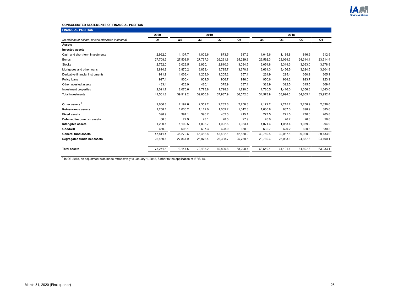

#### **CONSOLIDATED STATEMENTS OF FINANCIAL POSITION**

| <b>FINANCIAL POSITION</b>                            |          |          |          |          |          |          |          |                |          |  |
|------------------------------------------------------|----------|----------|----------|----------|----------|----------|----------|----------------|----------|--|
|                                                      | 2020     |          | 2019     |          |          |          | 2018     |                |          |  |
| (In millions of dollars, unless otherwise indicated) | Q1       | Q4       | Q3       | Q2       | Q1       | Q4       | Q3       | Q <sub>2</sub> | Q1       |  |
| <b>Assets</b>                                        |          |          |          |          |          |          |          |                |          |  |
| <b>Invested assets</b>                               |          |          |          |          |          |          |          |                |          |  |
| Cash and short-term investments                      | 2,992.0  | 1.107.7  | 1,009.6  | 873.5    | 917.2    | 1,045.6  | 1,185.8  | 846.9          | 912.9    |  |
| <b>Bonds</b>                                         | 27,708.3 | 27,508.5 | 27,767.3 | 26,291.8 | 25,229.3 | 23,592.3 | 23,064.3 | 24,314.1       | 23,514.4 |  |
| <b>Stocks</b>                                        | 2.752.0  | 3.023.5  | 2,920.1  | 2,810.3  | 3,094.5  | 3,054.8  | 3.319.3  | 3,363.0        | 3,378.9  |  |
| Mortgages and other loans                            | 3,814.8  | 3,870.2  | 3,853.4  | 3,795.7  | 3,670.9  | 3,661.3  | 3,456.5  | 3,324.5        | 3,304.8  |  |
| Derivative financial instruments                     | 911.9    | 1,003.4  | 1,208.0  | 1,205.2  | 657.1    | 224.9    | 295.4    | 360.9          | 305.1    |  |
| Policy loans                                         | 927.1    | 900.4    | 904.5    | 906.7    | 946.0    | 950.6    | 934.2    | 923.7          | 923.9    |  |
| Other invested assets                                | 433.4    | 428.9    | 420.1    | 375.9    | 337.1    | 328.9    | 322.5    | 315.5          | 309.4    |  |
| Investment properties                                | 2,021.7  | 2.076.6  | 1,773.8  | 1,728.8  | 1,720.5  | 1.720.5  | 1.416.0  | 1,356.8        | 1,343.0  |  |
| <b>Total investments</b>                             | 41,561.2 | 39,919.2 | 39,856.8 | 37,987.9 | 36,572.6 | 34,578.9 | 33.994.0 | 34,805.4       | 33,992.4 |  |
|                                                      |          |          |          |          |          |          |          |                |          |  |
| Other assets <sup>1</sup>                            | 2.666.8  | 2,192.6  | 2,359.2  | 2,232.6  | 2,758.8  | 2.172.2  | 2,215.2  | 2,258.9        | 2,336.0  |  |
| <b>Reinsurance assets</b>                            | 1,258.1  | 1,030.2  | 1,112.0  | 1,059.2  | 1,042.3  | 1,000.8  | 887.0    | 898.9          | 885.6    |  |
| <b>Fixed assets</b>                                  | 398.9    | 394.1    | 396.7    | 402.5    | 415.1    | 277.5    | 271.5    | 270.0          | 265.8    |  |
| Deferred income tax assets                           | 66.3     | 27.9     | 28.1     | 28.5     | 27.9     | 26.0     | 26.2     | 26.3           | 28.0     |  |
| Intangible assets                                    | 1,200.1  | 1,109.5  | 1,098.7  | 1,092.5  | 1,083.4  | 1,071.4  | 1,053.4  | 1,039.9        | 994.9    |  |
| Goodwill                                             | 660.0    | 606.1    | 607.3    | 628.9    | 630.8    | 632.7    | 620.2    | 620.6          | 630.3    |  |
| <b>General fund assets</b>                           | 47,811.4 | 45,279.6 | 45,458.8 | 43,432.1 | 42,530.9 | 39,759.5 | 39,067.5 | 39,920.0       | 39,133.0 |  |
| Segregated funds net assets                          | 25,460.1 | 27,867.9 | 26,976.4 | 26,388.7 | 25,759.5 | 23,780.6 | 25,033.6 | 24,887.6       | 24,100.1 |  |
|                                                      |          |          |          |          |          |          |          |                |          |  |
| <b>Total assets</b>                                  | 73,271.5 | 73,147.5 | 72,435.2 | 69,820.8 | 68,290.4 | 63,540.1 | 64,101.1 | 64,807.6       | 63,233.1 |  |
|                                                      |          |          |          |          |          |          |          |                |          |  |

<sup>1</sup> In Q3-2018, an adjustment was made retroactively to January 1, 2018, further to the application of IFRS-15.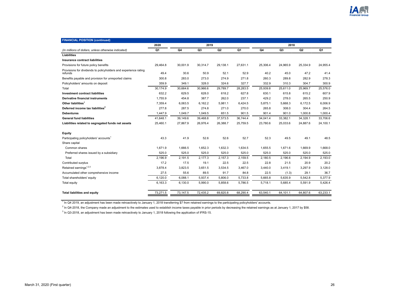| <b>FINANCIAL POSITION (continued)</b>                                      |          |          |                |                |                |          |          |                |          |
|----------------------------------------------------------------------------|----------|----------|----------------|----------------|----------------|----------|----------|----------------|----------|
|                                                                            | 2020     | 2019     |                |                | 2018           |          |          |                |          |
| (In millions of dollars, unless otherwise indicated)                       | Q1       | Q4       | Q <sub>3</sub> | Q <sub>2</sub> | Q <sub>1</sub> | Q4       | Q3       | Q <sub>2</sub> | Q1       |
| Liabilities                                                                |          |          |                |                |                |          |          |                |          |
| Insurance contract liabilities                                             |          |          |                |                |                |          |          |                |          |
| Provisions for future policy benefits                                      | 29,464.8 | 30,001.9 | 30,314.7       | 29,138.1       | 27,631.1       | 25,306.4 | 24,965.9 | 25,334.9       | 24,955.4 |
| Provisions for dividends to policyholders and experience rating<br>refunds | 49.4     | 30.6     | 50.9           | 52.1           | 52.9           | 40.2     | 45.0     | 47.2           | 41.4     |
| Benefits payable and provision for unreported claims                       | 300.8    | 283.0    | 273.0          | 274.9          | 271.8          | 260.3    | 289.8    | 282.9          | 278.3    |
| Policyholders' amounts on deposit                                          | 359.9    | 349.1    | 328.0          | 324.6          | 327.7          | 332.9    | 310.3    | 304.7          | 300.9    |
| Total                                                                      | 30,174.9 | 30,664.6 | 30,966.6       | 29,789.7       | 28,283.5       | 25,939.8 | 25,611.0 | 25,969.7       | 25,576.0 |
| <b>Investment contract liabilities</b>                                     | 632.2    | 629.5    | 628.0          | 618.2          | 627.8          | 630.1    | 615.8    | 615.2          | 607.9    |
| Derivative financial instruments                                           | 1,755.9  | 454.8    | 387.7          | 262.0          | 237.1          | 429.2    | 278.0    | 265.5          | 250.9    |
| Other liabilities <sup>1</sup>                                             | 7,359.4  | 6,063.5  | 6,162.2        | 5,981.1        | 6,424.5        | 5,875.1  | 5,668.3  | 6,172.5        | 6,006.9  |
| Deferred income tax liabilities <sup>2</sup>                               | 277.8    | 287.5    | 274.8          | 271.0          | 270.0          | 265.8    | 308.0    | 304.4          | 264.5    |
| <b>Debentures</b>                                                          | 1,447.9  | 1,049.7  | 1,049.5        | 651.5          | 901.5          | 901.4    | 901.0    | 1,000.8        | 1,000.4  |
| <b>General fund liabilities</b>                                            | 41,648.1 | 39,149.6 | 39,468.8       | 37,573.5       | 36,744.4       | 34,041.4 | 33.382.1 | 34,328.1       | 33,706.6 |
| Liabilities related to segregated funds net assets                         | 25,460.1 | 27,867.9 | 26,976.4       | 26,388.7       | 25,759.5       | 23,780.6 | 25,033.6 | 24,887.6       | 24,100.1 |
| Equity                                                                     |          |          |                |                |                |          |          |                |          |
| Participating policyholders' accounts <sup>1</sup>                         | 43.3     | 41.9     | 52.6           | 52.6           | 52.7           | 52.3     | 49.5     | 49.1           | 48.5     |
| Share capital                                                              |          |          |                |                |                |          |          |                |          |
| Common shares                                                              | 1.671.9  | 1,666.5  | 1,652.3        | 1,632.3        | 1,634.5        | 1,655.5  | 1,671.6  | 1,669.9        | 1,668.0  |
| Preferred shares issued by a subsidiary                                    | 525.0    | 525.0    | 525.0          | 525.0          | 525.0          | 525.0    | 525.0    | 525.0          | 525.0    |
| Total                                                                      | 2,196.9  | 2,191.5  | 2,177.3        | 2,157.3        | 2,159.5        | 2,180.5  | 2,196.6  | 2,194.9        | 2,193.0  |
| Contributed surplus                                                        | 17.2     | 17.5     | 19.1           | 22.5           | 22.5           | 22.8     | 21.5     | 20.9           | 20.2     |
| Retained earnings <sup>1,2,3</sup>                                         | 3.878.4  | 3,823.5  | 3.651.5        | 3.534.5        | 3,467.0        | 3.440.0  | 3.419.1  | 3.297.9        | 3,128.0  |
| Accumulated other comprehensive income                                     | 27.5     | 55.6     | 89.5           | 91.7           | 84.8           | 22.5     | (1.3)    | 29.1           | 36.7     |
| Total shareholders' equity                                                 | 6,120.0  | 6,088.1  | 5,937.4        | 5,806.0        | 5,733.8        | 5.665.8  | 5,635.9  | 5,542.8        | 5,377.9  |
| Total equity                                                               | 6,163.3  | 6,130.0  | 5,990.0        | 5,858.6        | 5,786.5        | 5,718.1  | 5,685.4  | 5,591.9        | 5,426.4  |
| <b>Total liabilities and equity</b>                                        | 73,271.5 | 73,147.5 | 72,435.2       | 69.820.8       | 68,290.4       | 63,540.1 | 64,101.1 | 64,807.6       | 63,233.1 |

<sup>1</sup> In Q4 2019, an adjustment has been made retroactively to January 1, 2018 transferring \$7 from retained earnings to the participating policyholders' accounts.

<sup>2</sup> In Q4-2018, the Company made an adjustment to the estimates used to establish income taxes payable in prior periods by decreasing the retained earnings as at January 1, 2017 by \$58.

<sup>3</sup> In Q3-2018, an adjustment has been made retroactively to January 1, 2018 following the application of IFRS-15.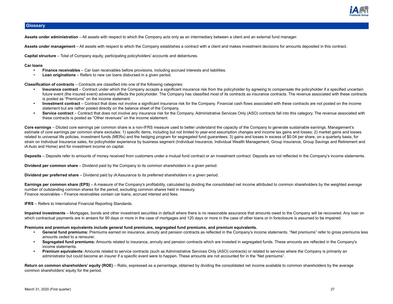

## <span id="page-26-0"></span>**Glossary**

**Assets under administration** – All assets with respect to which the Company acts only as an intermediary between a client and an external fund manager.

**Assets under management** – All assets with respect to which the Company establishes a contract with a client and makes investment decisions for amounts deposited in this contract.

**Capital structure** – Total of Company equity, participating policyholders' accounts and debentures.

#### **Car loans**

- **Finance receivables**  Car loan receivables before provisions, including accrued interests and liabilities.
- **Loan originations** Refers to new car loans disbursed in a given period.

**Classification of contracts** – Contracts are classified into one of the following categories:

- **Insurance contract** Contract under which the Company accepts a significant insurance risk from the policyholder by agreeing to compensate the policyholder if a specified uncertain future event (the insured event) adversely affects the policyholder. The Company has classified most of its contracts as insurance contracts. The revenue associated with these contracts is posted as "Premiums" on the income statement.
- **Investment contract** Contract that does not involve a significant insurance risk for the Company. Financial cash flows associated with these contracts are not posted on the income statement but are rather posted directly on the balance sheet of the Company.
- Service contract Contract that does not involve any insurance risk for the Company. Administrative Services Only (ASO) contracts fall into this category. The revenue associated with these contracts is posted as "Other revenues" on the income statement.

**Core earnings** – Diluted core earnings per common share is a non-IFRS measure used to better understand the capacity of the Company to generate sustainable earnings. Management's estimate of core earnings per common share excludes: 1) specific items, including but not limited to year-end assumption changes and income tax gains and losses; 2) market gains and losses related to universal life policies, investment funds (MERs) and the hedging program for segregated fund guarantees; 3) gains and losses in excess of \$0.04 per share, on a quarterly basis, for strain on Individual Insurance sales, for policyholder experience by business segment (Individual Insurance, Individual Wealth Management, Group Insurance, Group Savings and Retirement and iA Auto and Home) and for investment income on capital.

Deposits – Deposits refer to amounts of money received from customers under a mutual fund contract or an investment contract. Deposits are not reflected in the Company's income statements.

**Dividend per common share** – Dividend paid by the Company to its common shareholders in a given period.

**Dividend per preferred share** – Dividend paid by iA Assurance to its preferred shareholders in a given period.

Earnings per common share (EPS) – A measure of the Company's profitability, calculated by dividing the consolidated net income attributed to common shareholders by the weighted average number of outstanding common shares for the period, excluding common shares held in treasury. Finance receivables – Finance receivables contain car loans, accrued interest and fees.

**IFRS** – Refers to International Financial Reporting Standards.

**Impaired investments** – Mortgages, bonds and other investment securities in default where there is no reasonable assurance that amounts owed to the Company will be recovered. Any loan on which contractual payments are in arrears for 90 days or more in the case of mortgages and 120 days or more in the case of other loans or in foreclosure is assumed to be impaired.

#### **Premiums and premium equivalents include general fund premiums, segregated fund premiums, and premium equivalents.**

- **General fund premiums:** Premiums earned on insurance, annuity and pension contracts as reflected in the Company's income statements. "Net premiums" refer to gross premiums less amounts ceded to a reinsurer.
- **Segregated fund premiums:** Amounts related to insurance, annuity and pension contracts which are invested in segregated funds. These amounts are reflected in the Company's income statements.
- **Premium equivalents:** Amounts related to service contracts (such as Administrative Services Only (ASO) contracts) or related to services where the Company is primarily an administrator but could become an insurer if a specific event were to happen. These amounts are not accounted for in the "Net premiums".

Return on common shareholders' equity (ROE) – Ratio, expressed as a percentage, obtained by dividing the consolidated net income available to common shareholders by the average common shareholders' equity for the period.